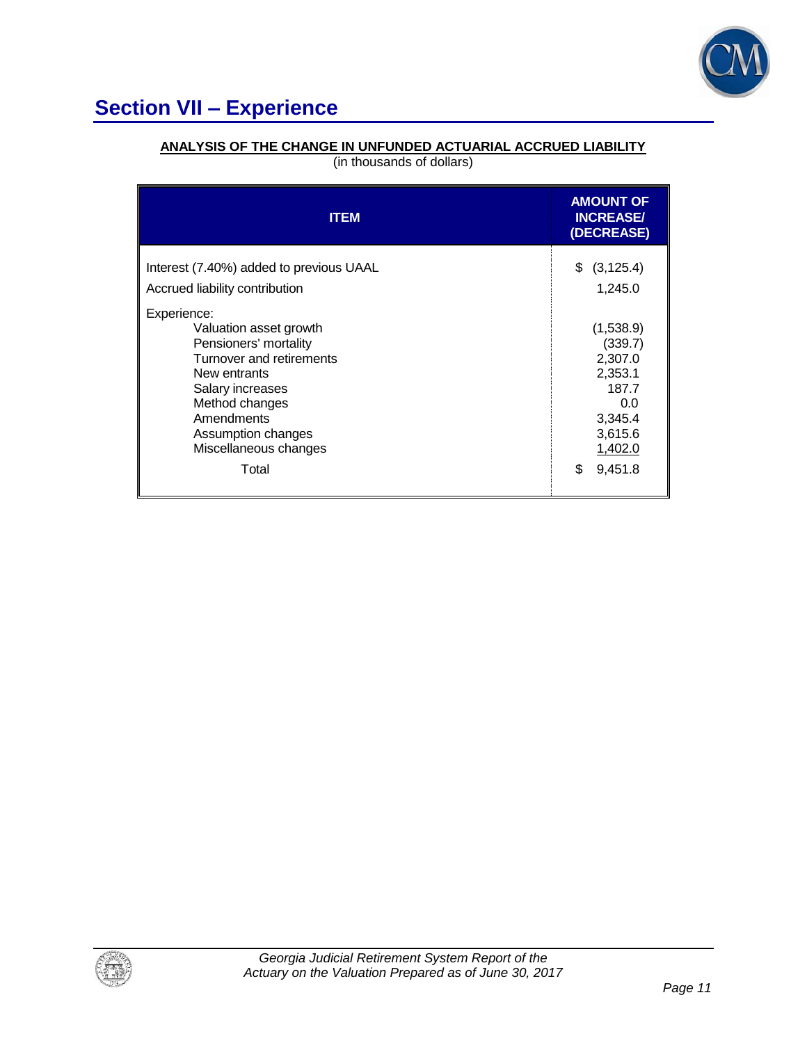

# **Section VII – Experience**

## **ANALYSIS OF THE CHANGE IN UNFUNDED ACTUARIAL ACCRUED LIABILITY**

(in thousands of dollars)

| <b>ITEM</b>                                                                                                                                                                                                   | <b>AMOUNT OF</b><br><b>INCREASE/</b><br>(DECREASE)                                          |
|---------------------------------------------------------------------------------------------------------------------------------------------------------------------------------------------------------------|---------------------------------------------------------------------------------------------|
| Interest (7.40%) added to previous UAAL<br>Accrued liability contribution                                                                                                                                     | \$<br>(3, 125.4)<br>1,245.0                                                                 |
| Experience:<br>Valuation asset growth<br>Pensioners' mortality<br>Turnover and retirements<br>New entrants<br>Salary increases<br>Method changes<br>Amendments<br>Assumption changes<br>Miscellaneous changes | (1,538.9)<br>(339.7)<br>2,307.0<br>2,353.1<br>187.7<br>0.0<br>3,345.4<br>3,615.6<br>1,402.0 |
| Total                                                                                                                                                                                                         | \$<br>9,451.8                                                                               |

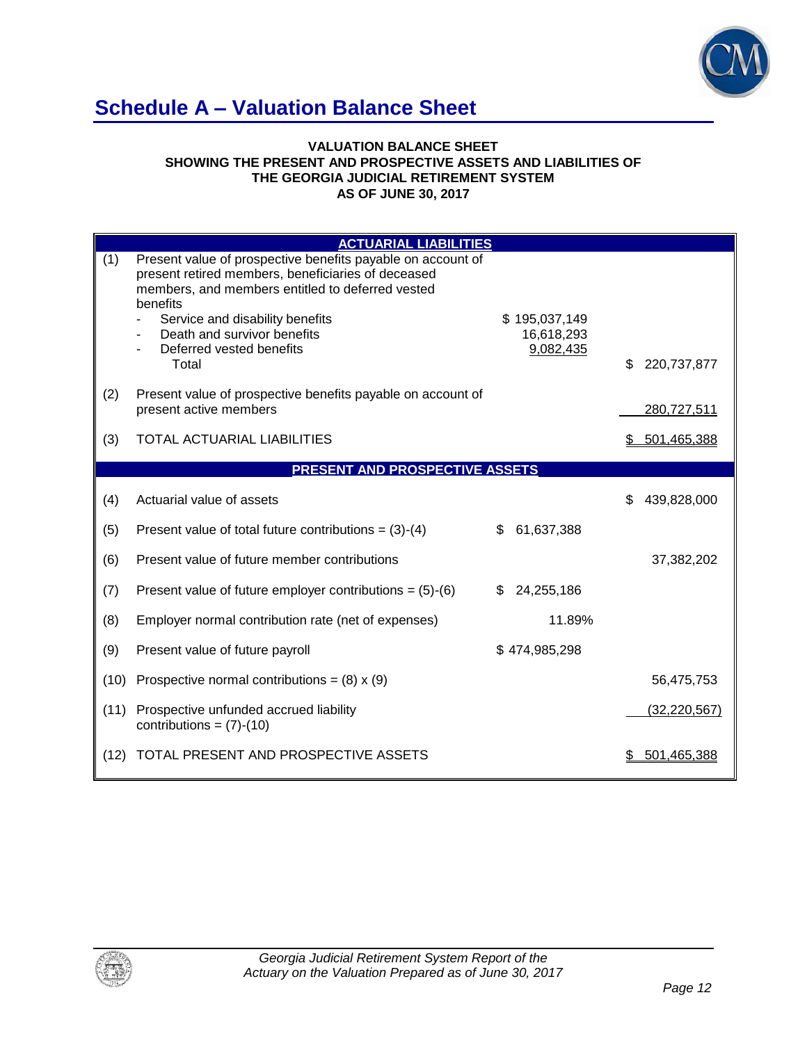

## **Schedule A – Valuation Balance Sheet**

#### **VALUATION BALANCE SHEET SHOWING THE PRESENT AND PROSPECTIVE ASSETS AND LIABILITIES OF THE GEORGIA JUDICIAL RETIREMENT SYSTEM AS OF JUNE 30, 2017**

|      | <b>ACTUARIAL LIABILITIES</b>                                                                                                                                                                                                                                                    |                                          |                    |
|------|---------------------------------------------------------------------------------------------------------------------------------------------------------------------------------------------------------------------------------------------------------------------------------|------------------------------------------|--------------------|
| (1)  | Present value of prospective benefits payable on account of<br>present retired members, beneficiaries of deceased<br>members, and members entitled to deferred vested<br>benefits<br>Service and disability benefits<br>Death and survivor benefits<br>Deferred vested benefits | \$195,037,149<br>16,618,293<br>9,082,435 |                    |
|      | Total                                                                                                                                                                                                                                                                           |                                          | \$<br>220,737,877  |
| (2)  | Present value of prospective benefits payable on account of<br>present active members                                                                                                                                                                                           |                                          | 280,727,511        |
| (3)  | TOTAL ACTUARIAL LIABILITIES                                                                                                                                                                                                                                                     |                                          | 501,465,388<br>S   |
|      | PRESENT AND PROSPECTIVE ASSETS                                                                                                                                                                                                                                                  |                                          |                    |
|      |                                                                                                                                                                                                                                                                                 |                                          |                    |
| (4)  | Actuarial value of assets                                                                                                                                                                                                                                                       |                                          | 439,828,000<br>\$. |
| (5)  | Present value of total future contributions = $(3)-(4)$                                                                                                                                                                                                                         | 61,637,388<br>\$                         |                    |
| (6)  | Present value of future member contributions                                                                                                                                                                                                                                    |                                          | 37,382,202         |
| (7)  | Present value of future employer contributions = $(5)-(6)$                                                                                                                                                                                                                      | 24,255,186<br>\$                         |                    |
| (8)  | Employer normal contribution rate (net of expenses)                                                                                                                                                                                                                             | 11.89%                                   |                    |
| (9)  | Present value of future payroll                                                                                                                                                                                                                                                 | \$474,985,298                            |                    |
| (10) | Prospective normal contributions = $(8) \times (9)$                                                                                                                                                                                                                             |                                          | 56,475,753         |
| (11) | Prospective unfunded accrued liability<br>contributions = $(7)-(10)$                                                                                                                                                                                                            |                                          | (32, 220, 567)     |
| (12) | TOTAL PRESENT AND PROSPECTIVE ASSETS                                                                                                                                                                                                                                            |                                          | 501,465,388        |

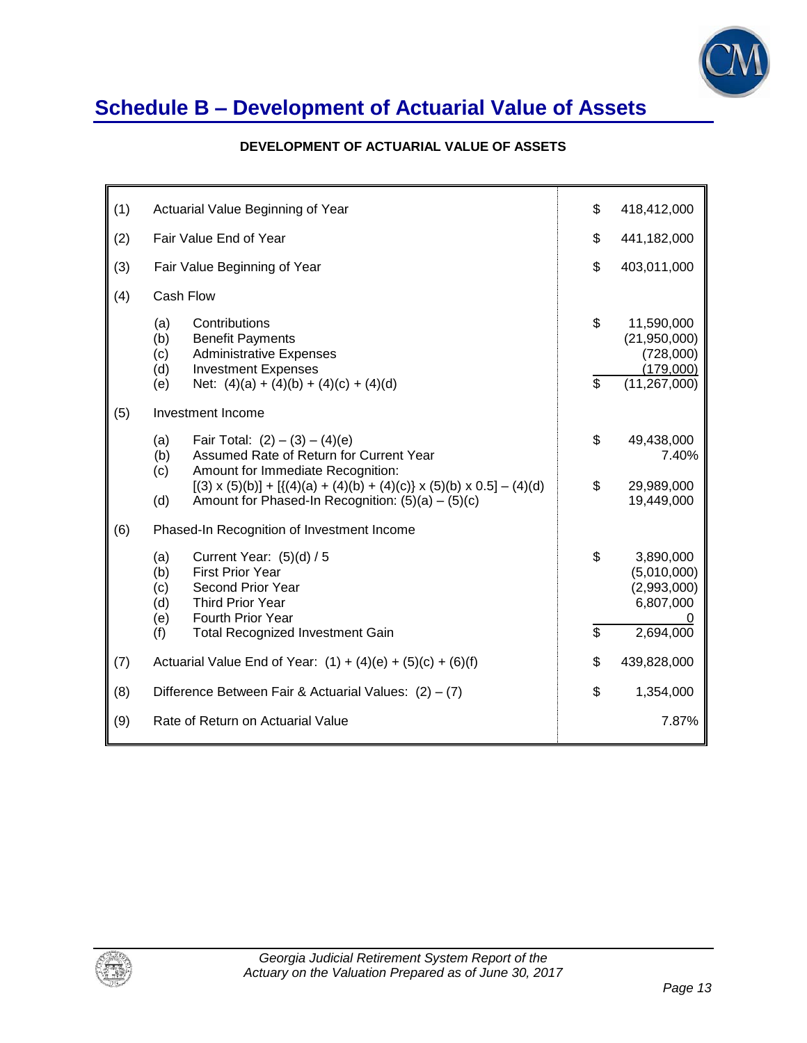

## **Schedule B – Development of Actuarial Value of Assets**

### **DEVELOPMENT OF ACTUARIAL VALUE OF ASSETS**

| (1) | Actuarial Value Beginning of Year                                                                                                                                                       | \$       | 418,412,000                                                            |
|-----|-----------------------------------------------------------------------------------------------------------------------------------------------------------------------------------------|----------|------------------------------------------------------------------------|
| (2) | Fair Value End of Year                                                                                                                                                                  | \$       | 441,182,000                                                            |
| (3) | Fair Value Beginning of Year                                                                                                                                                            | \$       | 403,011,000                                                            |
| (4) | Cash Flow                                                                                                                                                                               |          |                                                                        |
|     | (a)<br>Contributions<br>(b)<br><b>Benefit Payments</b><br>(c)<br><b>Administrative Expenses</b><br>(d)<br><b>Investment Expenses</b><br>Net: $(4)(a) + (4)(b) + (4)(c) + (4)(d)$<br>(e) | \$<br>\$ | 11,590,000<br>(21,950,000)<br>(728,000)<br>(179,000)<br>(11, 267, 000) |
| (5) | Investment Income                                                                                                                                                                       |          |                                                                        |
|     | Fair Total: $(2) - (3) - (4)(e)$<br>(a)<br>Assumed Rate of Return for Current Year<br>(b)<br>Amount for Immediate Recognition:<br>(c)                                                   | \$       | 49,438,000<br>7.40%                                                    |
|     | $[(3) \times (5)(b)] + [((4)(a) + (4)(b) + (4)(c)) \times (5)(b) \times 0.5] - (4)(d)$<br>(d)<br>Amount for Phased-In Recognition: $(5)(a) - (5)(c)$                                    | \$       | 29,989,000<br>19,449,000                                               |
| (6) | Phased-In Recognition of Investment Income                                                                                                                                              |          |                                                                        |
|     | (a)<br>Current Year: $(5)(d) / 5$<br>(b)<br><b>First Prior Year</b><br>Second Prior Year<br>(c)<br>(d)<br><b>Third Prior Year</b><br>Fourth Prior Year<br>(e)                           | \$       | 3,890,000<br>(5,010,000)<br>(2,993,000)<br>6,807,000                   |
|     | (f)<br><b>Total Recognized Investment Gain</b>                                                                                                                                          | \$       | 2,694,000                                                              |
| (7) | Actuarial Value End of Year: $(1) + (4)(e) + (5)(c) + (6)(f)$                                                                                                                           | \$       | 439,828,000                                                            |
| (8) | Difference Between Fair & Actuarial Values: $(2) - (7)$                                                                                                                                 | \$       | 1,354,000                                                              |
| (9) | Rate of Return on Actuarial Value                                                                                                                                                       |          | 7.87%                                                                  |

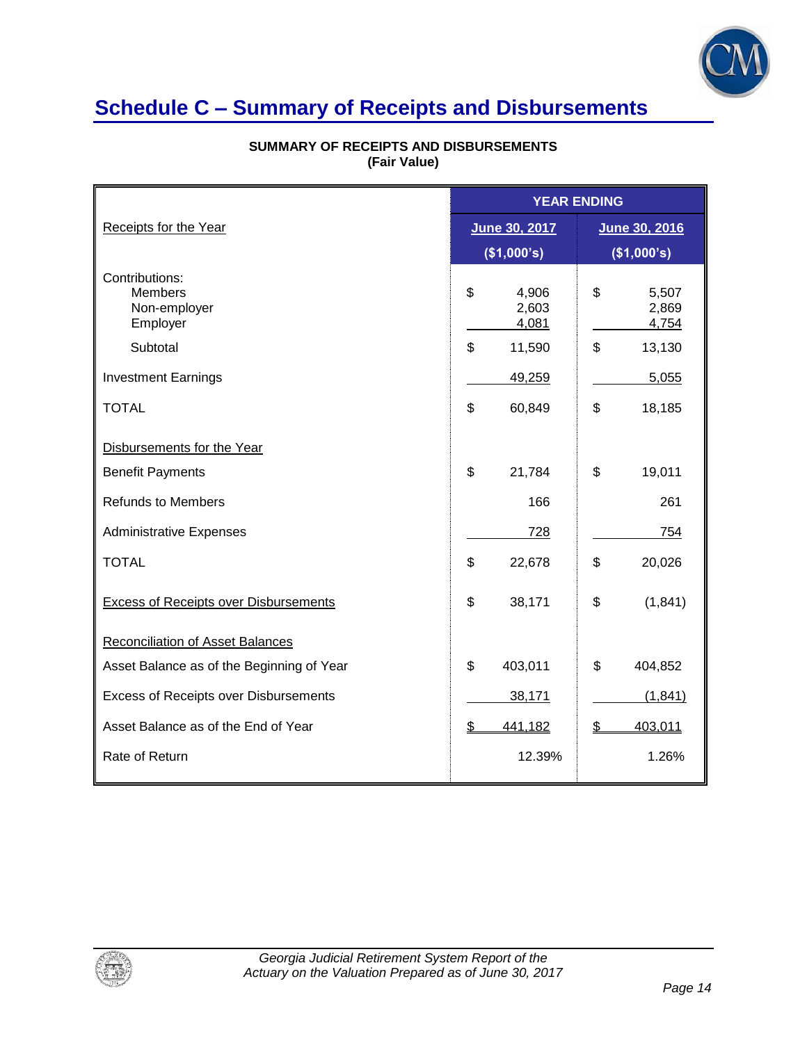

## **Schedule C – Summary of Receipts and Disbursements**

|                                                              | <b>YEAR ENDING</b>            |                               |  |
|--------------------------------------------------------------|-------------------------------|-------------------------------|--|
| Receipts for the Year                                        | June 30, 2017                 | June 30, 2016                 |  |
|                                                              | (\$1,000's)                   | (\$1,000's)                   |  |
| Contributions:<br><b>Members</b><br>Non-employer<br>Employer | \$<br>4,906<br>2,603<br>4,081 | \$<br>5,507<br>2,869<br>4,754 |  |
| Subtotal                                                     | \$<br>11,590                  | \$<br>13,130                  |  |
| <b>Investment Earnings</b>                                   | 49,259                        | 5,055                         |  |
| <b>TOTAL</b>                                                 | \$<br>60,849                  | \$<br>18,185                  |  |
| Disbursements for the Year                                   |                               |                               |  |
| <b>Benefit Payments</b>                                      | \$<br>21,784                  | \$<br>19,011                  |  |
| <b>Refunds to Members</b>                                    | 166                           | 261                           |  |
| <b>Administrative Expenses</b>                               | 728                           | 754                           |  |
| <b>TOTAL</b>                                                 | \$<br>22,678                  | \$<br>20,026                  |  |
| <b>Excess of Receipts over Disbursements</b>                 | \$<br>38,171                  | \$<br>(1,841)                 |  |
| <b>Reconciliation of Asset Balances</b>                      |                               |                               |  |
| Asset Balance as of the Beginning of Year                    | \$<br>403,011                 | \$<br>404,852                 |  |
| Excess of Receipts over Disbursements                        | 38,171                        | (1, 841)                      |  |
| Asset Balance as of the End of Year                          | \$<br>441,182                 | \$<br>403,011                 |  |
| Rate of Return                                               | 12.39%                        | 1.26%                         |  |

#### **SUMMARY OF RECEIPTS AND DISBURSEMENTS (Fair Value)**

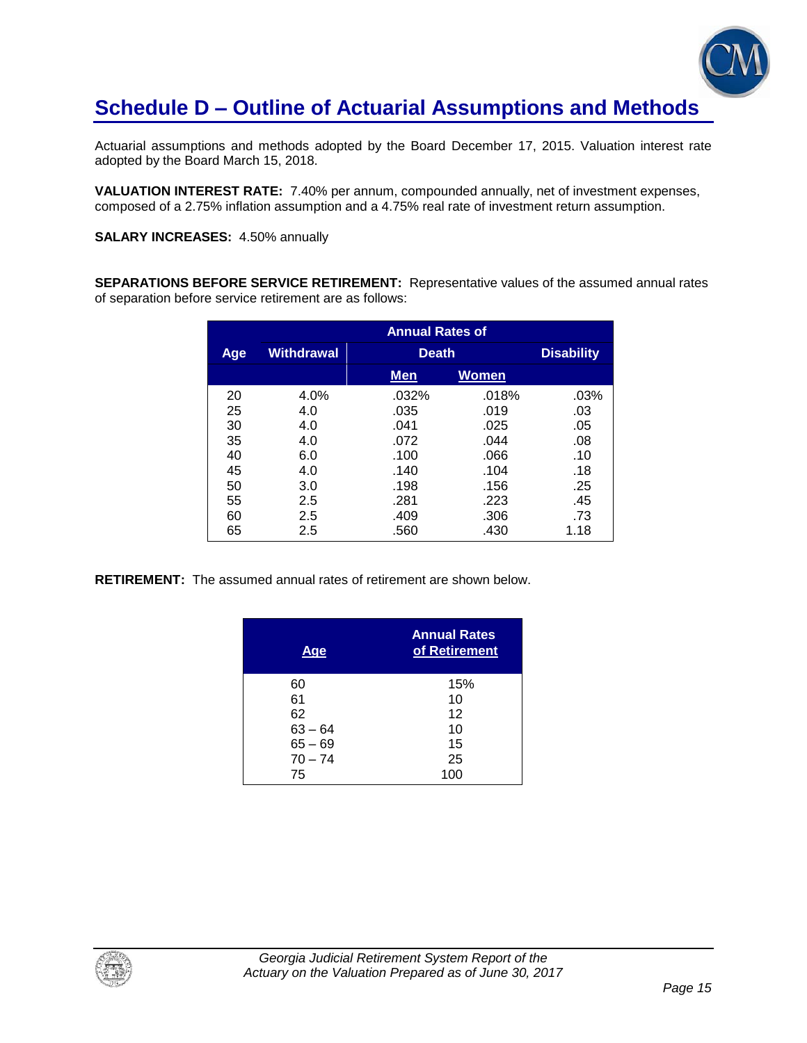

## **Schedule D – Outline of Actuarial Assumptions and Methods**

Actuarial assumptions and methods adopted by the Board December 17, 2015. Valuation interest rate adopted by the Board March 15, 2018.

**VALUATION INTEREST RATE:** 7.40% per annum, compounded annually, net of investment expenses, composed of a 2.75% inflation assumption and a 4.75% real rate of investment return assumption.

**SALARY INCREASES:** 4.50% annually

**SEPARATIONS BEFORE SERVICE RETIREMENT:** Representative values of the assumed annual rates of separation before service retirement are as follows:

|            | <b>Annual Rates of</b> |              |              |                   |
|------------|------------------------|--------------|--------------|-------------------|
| <b>Age</b> | <b>Withdrawal</b>      | <b>Death</b> |              | <b>Disability</b> |
|            |                        | Men          | <b>Women</b> |                   |
| 20         | 4.0%                   | .032%        | .018%        | .03%              |
| 25         | 4.0                    | .035         | .019         | .03               |
| 30         | 4.0                    | .041         | .025         | .05               |
| 35         | 4.0                    | .072         | .044         | .08               |
| 40         | 6.0                    | .100         | .066         | .10               |
| 45         | 4.0                    | .140         | .104         | .18               |
| 50         | 3.0                    | .198         | .156         | .25               |
| 55         | 2.5                    | .281         | .223         | .45               |
| 60         | 2.5                    | .409         | .306         | .73               |
| 65         | 2.5                    | .560         | .430         | 1.18              |

**RETIREMENT:** The assumed annual rates of retirement are shown below.

| Age       | <b>Annual Rates</b><br>of Retirement |
|-----------|--------------------------------------|
| 60        | 15%                                  |
| 61        | 10                                   |
| 62        | 12                                   |
| $63 - 64$ | 10                                   |
| $65 - 69$ | 15                                   |
| $70 - 74$ | 25                                   |
| 75        | 100                                  |

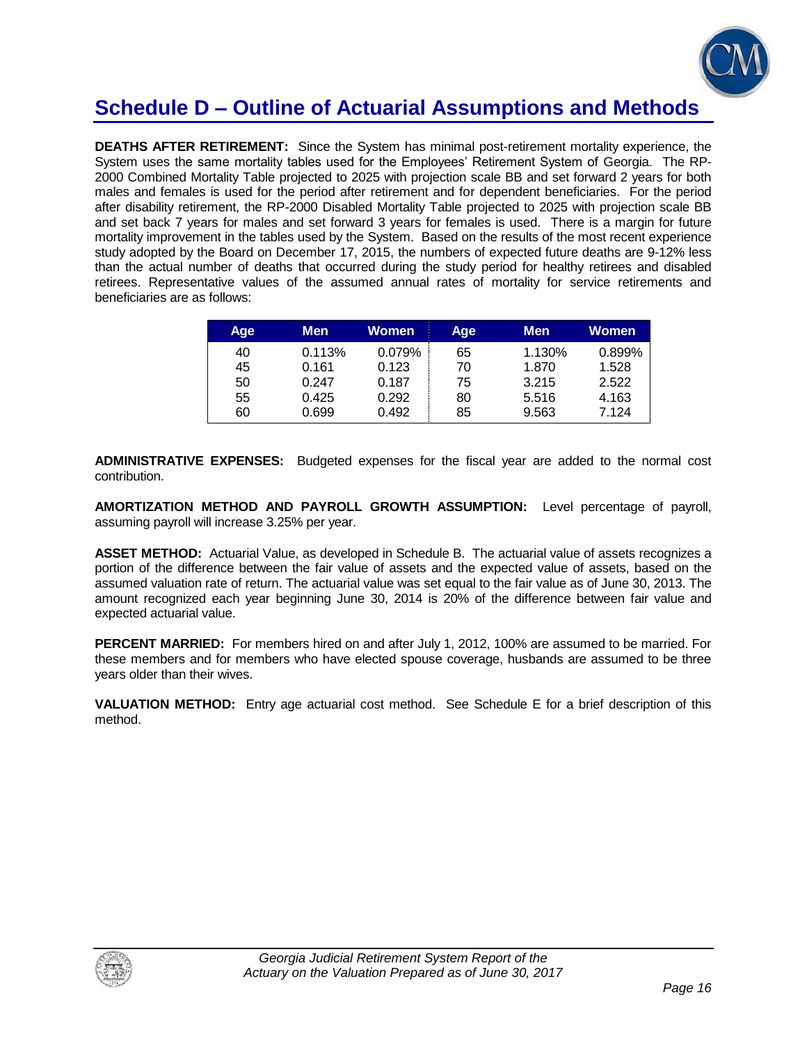

## **Schedule D – Outline of Actuarial Assumptions and Methods**

**DEATHS AFTER RETIREMENT:** Since the System has minimal post-retirement mortality experience, the System uses the same mortality tables used for the Employees' Retirement System of Georgia. The RP-2000 Combined Mortality Table projected to 2025 with projection scale BB and set forward 2 years for both males and females is used for the period after retirement and for dependent beneficiaries. For the period after disability retirement, the RP-2000 Disabled Mortality Table projected to 2025 with projection scale BB and set back 7 years for males and set forward 3 years for females is used. There is a margin for future mortality improvement in the tables used by the System. Based on the results of the most recent experience study adopted by the Board on December 17, 2015, the numbers of expected future deaths are 9-12% less than the actual number of deaths that occurred during the study period for healthy retirees and disabled retirees. Representative values of the assumed annual rates of mortality for service retirements and beneficiaries are as follows:

| Age | Men    | Women  | Age | <b>Men</b> | Women  |
|-----|--------|--------|-----|------------|--------|
| 40  | 0.113% | 0.079% | 65  | 1.130%     | 0.899% |
| 45  | 0.161  | 0.123  | 70  | 1.870      | 1.528  |
| 50  | 0.247  | 0.187  | 75  | 3.215      | 2.522  |
| 55  | 0.425  | 0.292  | 80  | 5.516      | 4.163  |
| 60  | 0.699  | 0.492  | 85  | 9.563      | 7.124  |

**ADMINISTRATIVE EXPENSES:** Budgeted expenses for the fiscal year are added to the normal cost contribution.

**AMORTIZATION METHOD AND PAYROLL GROWTH ASSUMPTION:** Level percentage of payroll, assuming payroll will increase 3.25% per year.

**ASSET METHOD:** Actuarial Value, as developed in Schedule B. The actuarial value of assets recognizes a portion of the difference between the fair value of assets and the expected value of assets, based on the assumed valuation rate of return. The actuarial value was set equal to the fair value as of June 30, 2013. The amount recognized each year beginning June 30, 2014 is 20% of the difference between fair value and expected actuarial value.

**PERCENT MARRIED:** For members hired on and after July 1, 2012, 100% are assumed to be married. For these members and for members who have elected spouse coverage, husbands are assumed to be three years older than their wives.

**VALUATION METHOD:** Entry age actuarial cost method. See Schedule E for a brief description of this method.

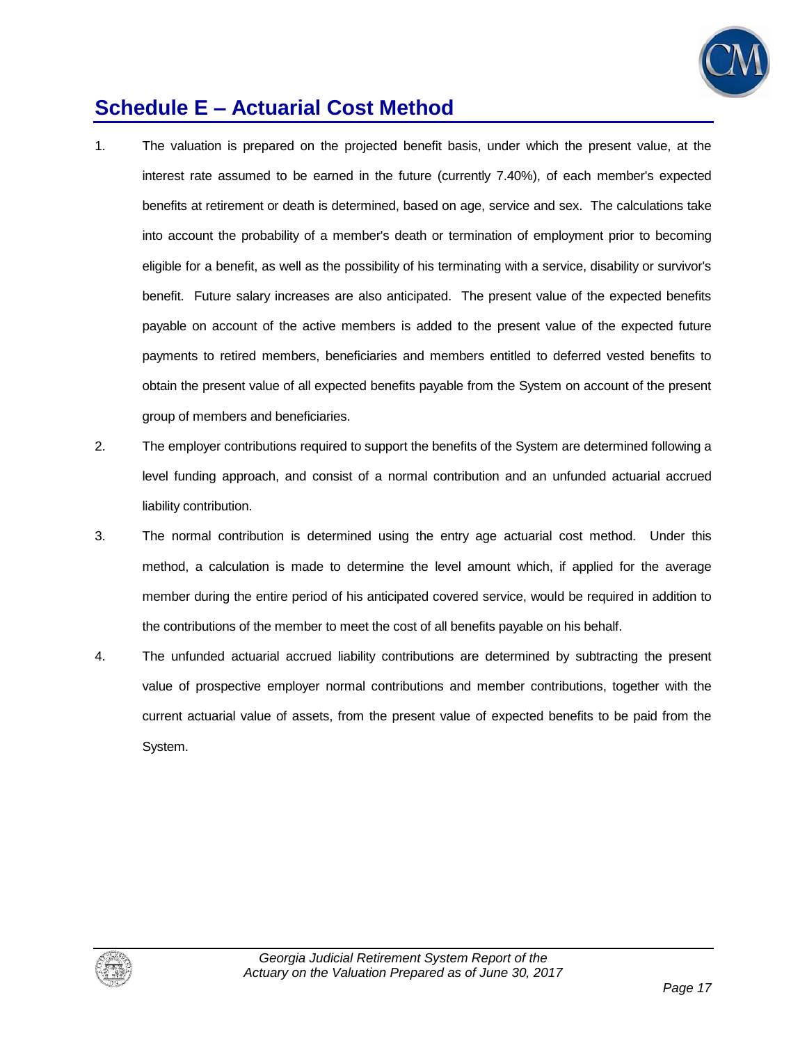

## **Schedule E – Actuarial Cost Method**

- 1. The valuation is prepared on the projected benefit basis, under which the present value, at the interest rate assumed to be earned in the future (currently 7.40%), of each member's expected benefits at retirement or death is determined, based on age, service and sex. The calculations take into account the probability of a member's death or termination of employment prior to becoming eligible for a benefit, as well as the possibility of his terminating with a service, disability or survivor's benefit. Future salary increases are also anticipated. The present value of the expected benefits payable on account of the active members is added to the present value of the expected future payments to retired members, beneficiaries and members entitled to deferred vested benefits to obtain the present value of all expected benefits payable from the System on account of the present group of members and beneficiaries.
- 2. The employer contributions required to support the benefits of the System are determined following a level funding approach, and consist of a normal contribution and an unfunded actuarial accrued liability contribution.
- 3. The normal contribution is determined using the entry age actuarial cost method. Under this method, a calculation is made to determine the level amount which, if applied for the average member during the entire period of his anticipated covered service, would be required in addition to the contributions of the member to meet the cost of all benefits payable on his behalf.
- 4. The unfunded actuarial accrued liability contributions are determined by subtracting the present value of prospective employer normal contributions and member contributions, together with the current actuarial value of assets, from the present value of expected benefits to be paid from the System.

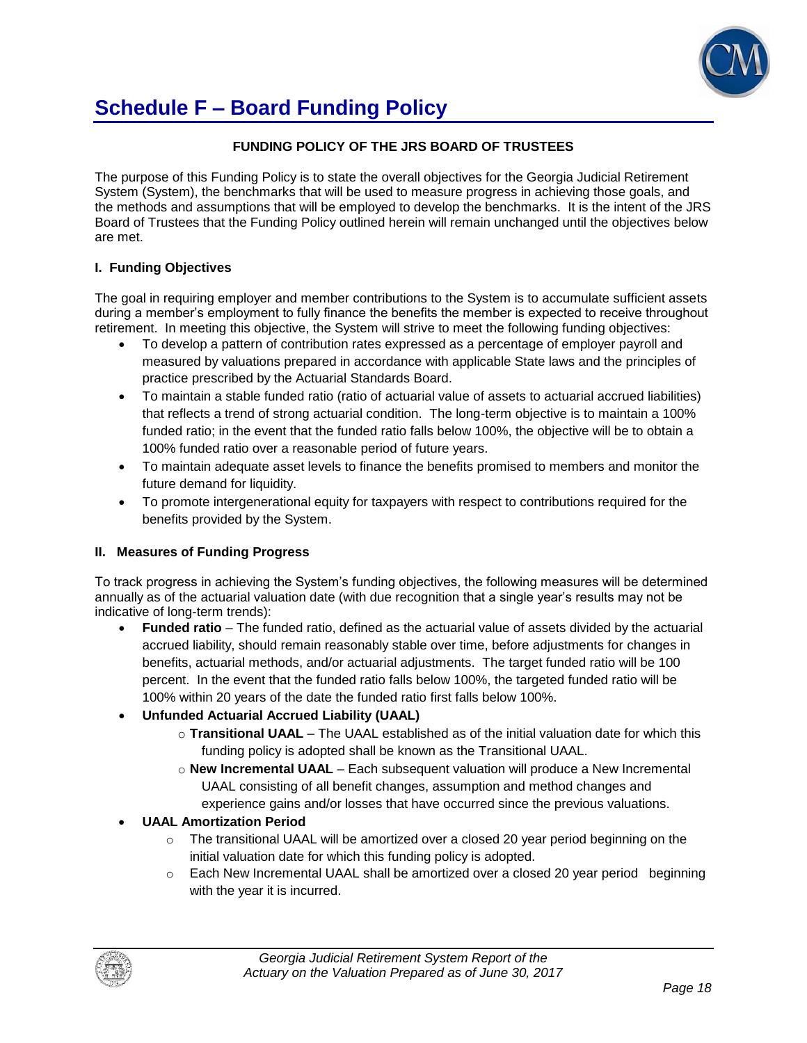

# **Schedule F – Board Funding Policy**

### **FUNDING POLICY OF THE JRS BOARD OF TRUSTEES**

The purpose of this Funding Policy is to state the overall objectives for the Georgia Judicial Retirement System (System), the benchmarks that will be used to measure progress in achieving those goals, and the methods and assumptions that will be employed to develop the benchmarks. It is the intent of the JRS Board of Trustees that the Funding Policy outlined herein will remain unchanged until the objectives below are met.

### **I. Funding Objectives**

The goal in requiring employer and member contributions to the System is to accumulate sufficient assets during a member's employment to fully finance the benefits the member is expected to receive throughout retirement. In meeting this objective, the System will strive to meet the following funding objectives:

- To develop a pattern of contribution rates expressed as a percentage of employer payroll and measured by valuations prepared in accordance with applicable State laws and the principles of practice prescribed by the Actuarial Standards Board.
- To maintain a stable funded ratio (ratio of actuarial value of assets to actuarial accrued liabilities) that reflects a trend of strong actuarial condition. The long-term objective is to maintain a 100% funded ratio; in the event that the funded ratio falls below 100%, the objective will be to obtain a 100% funded ratio over a reasonable period of future years.
- To maintain adequate asset levels to finance the benefits promised to members and monitor the future demand for liquidity.
- To promote intergenerational equity for taxpayers with respect to contributions required for the benefits provided by the System.

### **II. Measures of Funding Progress**

To track progress in achieving the System's funding objectives, the following measures will be determined annually as of the actuarial valuation date (with due recognition that a single year's results may not be indicative of long-term trends):

 **Funded ratio** – The funded ratio, defined as the actuarial value of assets divided by the actuarial accrued liability, should remain reasonably stable over time, before adjustments for changes in benefits, actuarial methods, and/or actuarial adjustments. The target funded ratio will be 100 percent. In the event that the funded ratio falls below 100%, the targeted funded ratio will be 100% within 20 years of the date the funded ratio first falls below 100%.

### **Unfunded Actuarial Accrued Liability (UAAL)**

- o **Transitional UAAL** The UAAL established as of the initial valuation date for which this funding policy is adopted shall be known as the Transitional UAAL.
- o **New Incremental UAAL** Each subsequent valuation will produce a New Incremental UAAL consisting of all benefit changes, assumption and method changes and experience gains and/or losses that have occurred since the previous valuations.

### **UAAL Amortization Period**

- $\circ$  The transitional UAAL will be amortized over a closed 20 year period beginning on the initial valuation date for which this funding policy is adopted.
- $\circ$  Each New Incremental UAAL shall be amortized over a closed 20 year period beginning with the year it is incurred.

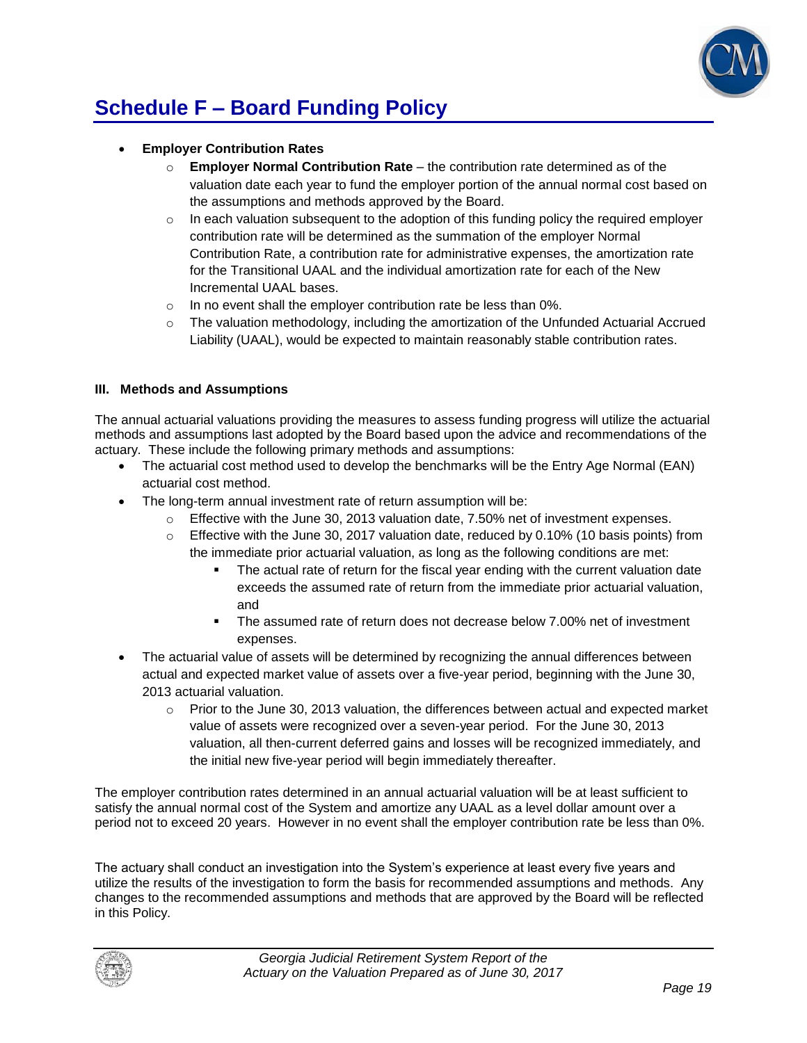

# **Schedule F – Board Funding Policy**

### **Employer Contribution Rates**

- o **Employer Normal Contribution Rate**  the contribution rate determined as of the valuation date each year to fund the employer portion of the annual normal cost based on the assumptions and methods approved by the Board.
- $\circ$  In each valuation subsequent to the adoption of this funding policy the required employer contribution rate will be determined as the summation of the employer Normal Contribution Rate, a contribution rate for administrative expenses, the amortization rate for the Transitional UAAL and the individual amortization rate for each of the New Incremental UAAL bases.
- o In no event shall the employer contribution rate be less than 0%.
- $\circ$  The valuation methodology, including the amortization of the Unfunded Actuarial Accrued Liability (UAAL), would be expected to maintain reasonably stable contribution rates.

#### **III. Methods and Assumptions**

The annual actuarial valuations providing the measures to assess funding progress will utilize the actuarial methods and assumptions last adopted by the Board based upon the advice and recommendations of the actuary. These include the following primary methods and assumptions:

- The actuarial cost method used to develop the benchmarks will be the Entry Age Normal (EAN) actuarial cost method.
- The long-term annual investment rate of return assumption will be:
	- $\circ$  Effective with the June 30, 2013 valuation date, 7.50% net of investment expenses.
	- $\circ$  Effective with the June 30, 2017 valuation date, reduced by 0.10% (10 basis points) from the immediate prior actuarial valuation, as long as the following conditions are met:
		- The actual rate of return for the fiscal year ending with the current valuation date exceeds the assumed rate of return from the immediate prior actuarial valuation, and
		- The assumed rate of return does not decrease below 7.00% net of investment expenses.
- The actuarial value of assets will be determined by recognizing the annual differences between actual and expected market value of assets over a five-year period, beginning with the June 30, 2013 actuarial valuation.
	- $\circ$  Prior to the June 30, 2013 valuation, the differences between actual and expected market value of assets were recognized over a seven-year period. For the June 30, 2013 valuation, all then-current deferred gains and losses will be recognized immediately, and the initial new five-year period will begin immediately thereafter.

The employer contribution rates determined in an annual actuarial valuation will be at least sufficient to satisfy the annual normal cost of the System and amortize any UAAL as a level dollar amount over a period not to exceed 20 years. However in no event shall the employer contribution rate be less than 0%.

The actuary shall conduct an investigation into the System's experience at least every five years and utilize the results of the investigation to form the basis for recommended assumptions and methods. Any changes to the recommended assumptions and methods that are approved by the Board will be reflected in this Policy.

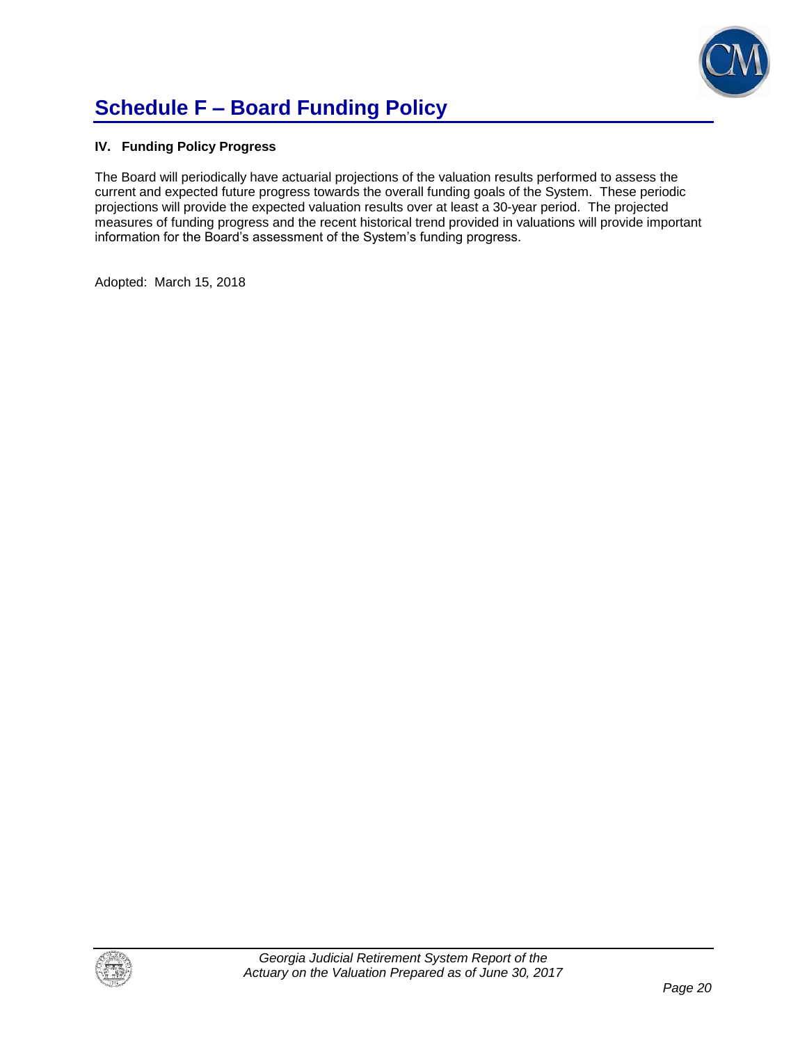

# **Schedule F – Board Funding Policy**

### **IV. Funding Policy Progress**

The Board will periodically have actuarial projections of the valuation results performed to assess the current and expected future progress towards the overall funding goals of the System. These periodic projections will provide the expected valuation results over at least a 30-year period. The projected measures of funding progress and the recent historical trend provided in valuations will provide important information for the Board's assessment of the System's funding progress.

Adopted: March 15, 2018

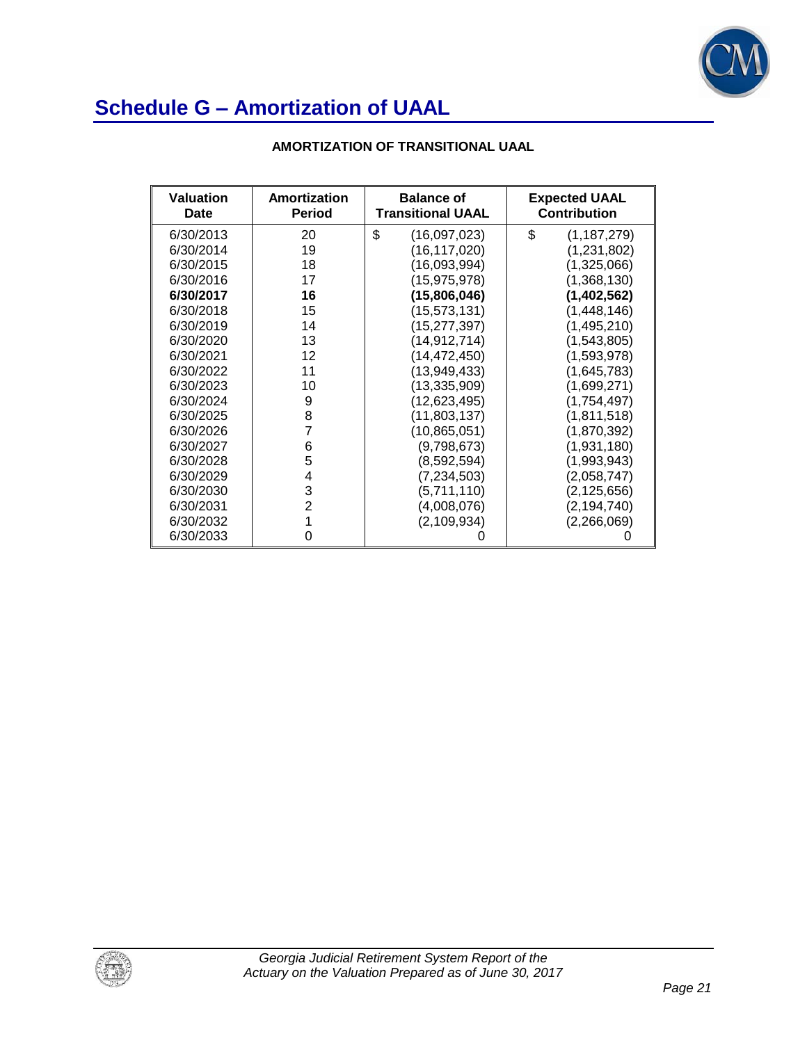

| AMORTIZATION OF TRANSITIONAL UAAL |  |  |
|-----------------------------------|--|--|
|                                   |  |  |

| <b>Valuation</b><br>Date | Amortization<br><b>Period</b> | <b>Balance of</b><br><b>Transitional UAAL</b> | <b>Expected UAAL</b><br><b>Contribution</b> |
|--------------------------|-------------------------------|-----------------------------------------------|---------------------------------------------|
| 6/30/2013                | 20                            | \$<br>(16,097,023)                            | \$<br>(1, 187, 279)                         |
| 6/30/2014                | 19                            | (16, 117, 020)                                | (1,231,802)                                 |
| 6/30/2015                | 18                            | (16,093,994)                                  | (1,325,066)                                 |
| 6/30/2016                | 17                            | (15, 975, 978)                                | (1,368,130)                                 |
| 6/30/2017                | 16                            | (15,806,046)                                  | (1,402,562)                                 |
| 6/30/2018                | 15                            | (15,573,131)                                  | (1,448,146)                                 |
| 6/30/2019                | 14                            | (15,277,397)                                  | (1,495,210)                                 |
| 6/30/2020                | 13                            | (14,912,714)                                  | (1,543,805)                                 |
| 6/30/2021                | 12                            | (14,472,450)                                  | (1,593,978)                                 |
| 6/30/2022                | 11                            | (13,949,433)                                  | (1,645,783)                                 |
| 6/30/2023                | 10                            | (13, 335, 909)                                | (1,699,271)                                 |
| 6/30/2024                | 9                             | (12, 623, 495)                                | (1,754,497)                                 |
| 6/30/2025                | 8                             | (11,803,137)                                  | (1,811,518)                                 |
| 6/30/2026                | 7                             | (10, 865, 051)                                | (1,870,392)                                 |
| 6/30/2027                | 6                             | (9,798,673)                                   | (1,931,180)                                 |
| 6/30/2028                | 5                             | (8,592,594)                                   | (1,993,943)                                 |
| 6/30/2029                | 4                             | (7, 234, 503)                                 | (2,058,747)                                 |
| 6/30/2030                | 3                             | (5,711,110)                                   | (2, 125, 656)                               |
| 6/30/2031                | $\overline{2}$                | (4,008,076)                                   | (2, 194, 740)                               |
| 6/30/2032                | 1                             | (2,109,934)                                   | (2,266,069)                                 |
| 6/30/2033                | O                             |                                               |                                             |

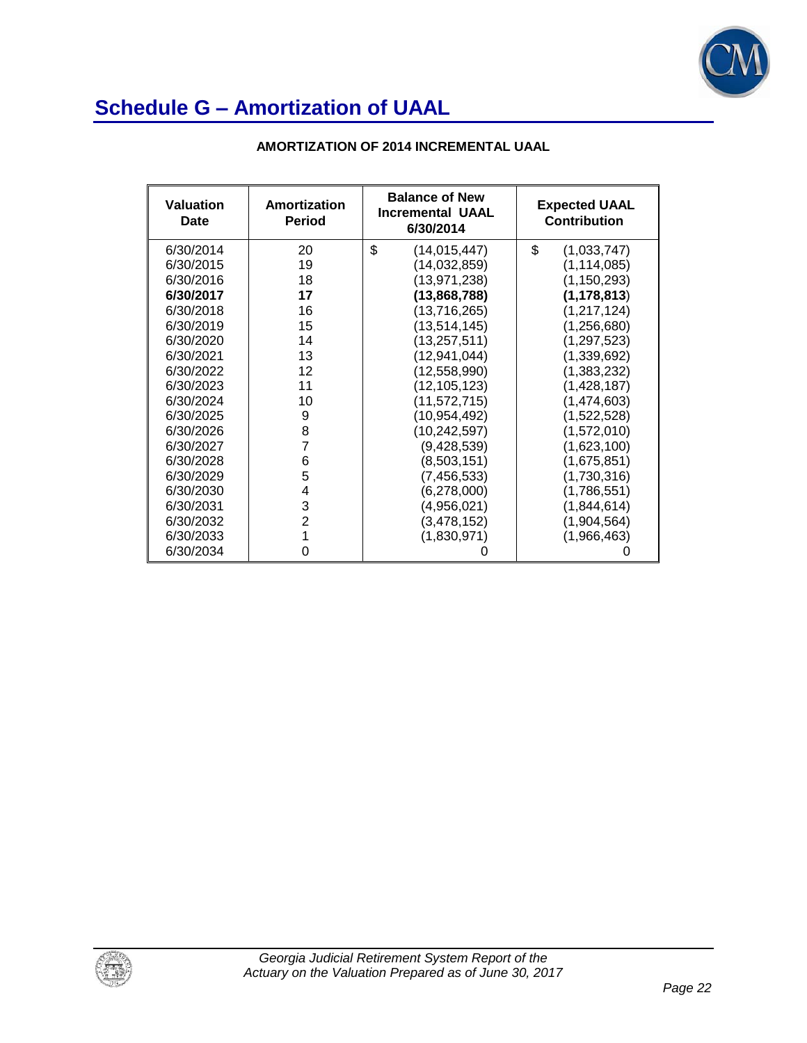

| <b>Valuation</b><br>Date | Amortization<br><b>Period</b> | <b>Balance of New</b><br><b>Incremental UAAL</b><br>6/30/2014 | <b>Expected UAAL</b><br><b>Contribution</b> |
|--------------------------|-------------------------------|---------------------------------------------------------------|---------------------------------------------|
| 6/30/2014                | 20                            | \$<br>(14,015,447)                                            | \$<br>(1,033,747)                           |
| 6/30/2015                | 19                            | (14, 032, 859)                                                | (1, 114, 085)                               |
| 6/30/2016                | 18                            | (13, 971, 238)                                                | (1, 150, 293)                               |
| 6/30/2017                | 17                            | (13,868,788)                                                  | (1, 178, 813)                               |
| 6/30/2018                | 16                            | (13,716,265)                                                  | (1, 217, 124)                               |
| 6/30/2019                | 15                            | (13, 514, 145)                                                | (1,256,680)                                 |
| 6/30/2020                | 14                            | (13, 257, 511)                                                | (1, 297, 523)                               |
| 6/30/2021                | 13                            | (12, 941, 044)                                                | (1,339,692)                                 |
| 6/30/2022                | 12                            | (12, 558, 990)                                                | (1,383,232)                                 |
| 6/30/2023                | 11                            | (12, 105, 123)                                                | (1,428,187)                                 |
| 6/30/2024                | 10                            | (11, 572, 715)                                                | (1,474,603)                                 |
| 6/30/2025                | 9                             | (10, 954, 492)                                                | (1,522,528)                                 |
| 6/30/2026                | 8                             | (10, 242, 597)                                                | (1,572,010)                                 |
| 6/30/2027                | $\overline{7}$                | (9,428,539)                                                   | (1,623,100)                                 |
| 6/30/2028                | 6                             | (8,503,151)                                                   | (1,675,851)                                 |
| 6/30/2029                | 5                             | (7, 456, 533)                                                 | (1,730,316)                                 |
| 6/30/2030                | 4                             | (6,278,000)                                                   | (1,786,551)                                 |
| 6/30/2031                | 3                             | (4,956,021)                                                   | (1,844,614)                                 |
| 6/30/2032                | $\overline{2}$                | (3,478,152)                                                   | (1,904,564)                                 |
| 6/30/2033                | 1                             | (1,830,971)                                                   | (1,966,463)                                 |
| 6/30/2034                | 0                             |                                                               |                                             |

### **AMORTIZATION OF 2014 INCREMENTAL UAAL**

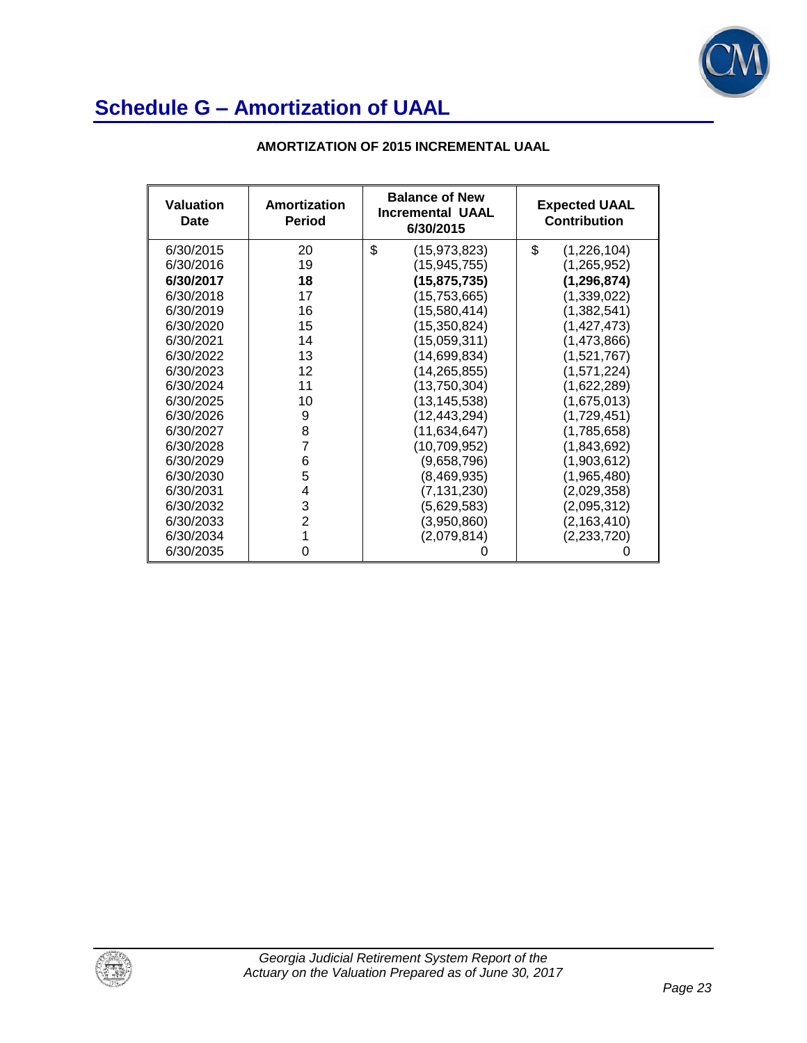

| Valuation<br>Date | Amortization<br><b>Period</b> | <b>Balance of New</b><br><b>Incremental UAAL</b><br>6/30/2015 | <b>Expected UAAL</b><br><b>Contribution</b> |
|-------------------|-------------------------------|---------------------------------------------------------------|---------------------------------------------|
| 6/30/2015         | 20                            | \$<br>(15, 973, 823)                                          | \$<br>(1,226,104)                           |
| 6/30/2016         | 19                            | (15, 945, 755)                                                | (1, 265, 952)                               |
| 6/30/2017         | 18                            | (15, 875, 735)                                                | (1, 296, 874)                               |
| 6/30/2018         | 17                            | (15, 753, 665)                                                | (1,339,022)                                 |
| 6/30/2019         | 16                            | (15,580,414)                                                  | (1,382,541)                                 |
| 6/30/2020         | 15                            | (15, 350, 824)                                                | (1,427,473)                                 |
| 6/30/2021         | 14                            | (15,059,311)                                                  | (1,473,866)                                 |
| 6/30/2022         | 13                            | (14,699,834)                                                  | (1,521,767)                                 |
| 6/30/2023         | 12                            | (14, 265, 855)                                                | (1,571,224)                                 |
| 6/30/2024         | 11                            | (13,750,304)                                                  | (1,622,289)                                 |
| 6/30/2025         | 10                            | (13, 145, 538)                                                | (1,675,013)                                 |
| 6/30/2026         | 9                             | (12,443,294)                                                  | (1,729,451)                                 |
| 6/30/2027         | 8                             | (11, 634, 647)                                                | (1,785,658)                                 |
| 6/30/2028         | 7                             | (10, 709, 952)                                                | (1,843,692)                                 |
| 6/30/2029         | 6                             | (9,658,796)                                                   | (1,903,612)                                 |
| 6/30/2030         | 5                             | (8,469,935)                                                   | (1,965,480)                                 |
| 6/30/2031         | 4                             | (7, 131, 230)                                                 | (2,029,358)                                 |
| 6/30/2032         | 3                             | (5,629,583)                                                   | (2,095,312)                                 |
| 6/30/2033         | $\overline{2}$                | (3,950,860)                                                   | (2, 163, 410)                               |
| 6/30/2034         | 1                             | (2,079,814)                                                   | (2,233,720)                                 |
| 6/30/2035         | 0                             |                                                               |                                             |

### **AMORTIZATION OF 2015 INCREMENTAL UAAL**

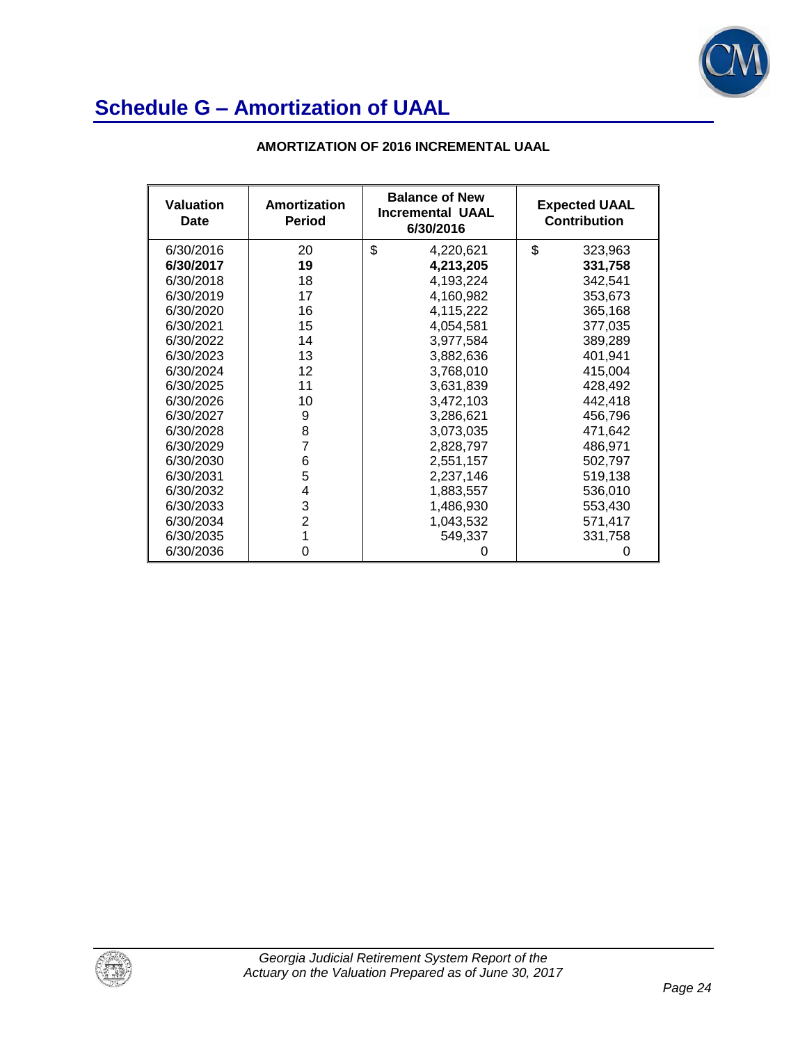

| <b>Valuation</b><br>Date | Amortization<br><b>Period</b> | <b>Balance of New</b><br><b>Incremental UAAL</b><br>6/30/2016 | <b>Expected UAAL</b><br><b>Contribution</b> |
|--------------------------|-------------------------------|---------------------------------------------------------------|---------------------------------------------|
| 6/30/2016                | 20                            | \$<br>4,220,621                                               | \$<br>323,963                               |
| 6/30/2017                | 19                            | 4,213,205                                                     | 331,758                                     |
| 6/30/2018                | 18                            | 4,193,224                                                     | 342,541                                     |
| 6/30/2019                | 17                            | 4,160,982                                                     | 353,673                                     |
| 6/30/2020                | 16                            | 4,115,222                                                     | 365,168                                     |
| 6/30/2021                | 15                            | 4,054,581                                                     | 377,035                                     |
| 6/30/2022                | 14                            | 3,977,584                                                     | 389,289                                     |
| 6/30/2023                | 13                            | 3,882,636                                                     | 401,941                                     |
| 6/30/2024                | 12                            | 3,768,010                                                     | 415,004                                     |
| 6/30/2025                | 11                            | 3,631,839                                                     | 428,492                                     |
| 6/30/2026                | 10                            | 3,472,103                                                     | 442,418                                     |
| 6/30/2027                | 9                             | 3,286,621                                                     | 456,796                                     |
| 6/30/2028                | 8                             | 3,073,035                                                     | 471,642                                     |
| 6/30/2029                | 7                             | 2,828,797                                                     | 486,971                                     |
| 6/30/2030                | 6                             | 2,551,157                                                     | 502,797                                     |
| 6/30/2031                | 5                             | 2,237,146                                                     | 519,138                                     |
| 6/30/2032                | 4                             | 1,883,557                                                     | 536,010                                     |
| 6/30/2033                | 3                             | 1,486,930                                                     | 553,430                                     |
| 6/30/2034                | $\overline{2}$                | 1,043,532                                                     | 571,417                                     |
| 6/30/2035                |                               | 549,337                                                       | 331,758                                     |
| 6/30/2036                | 0                             |                                                               |                                             |

### **AMORTIZATION OF 2016 INCREMENTAL UAAL**

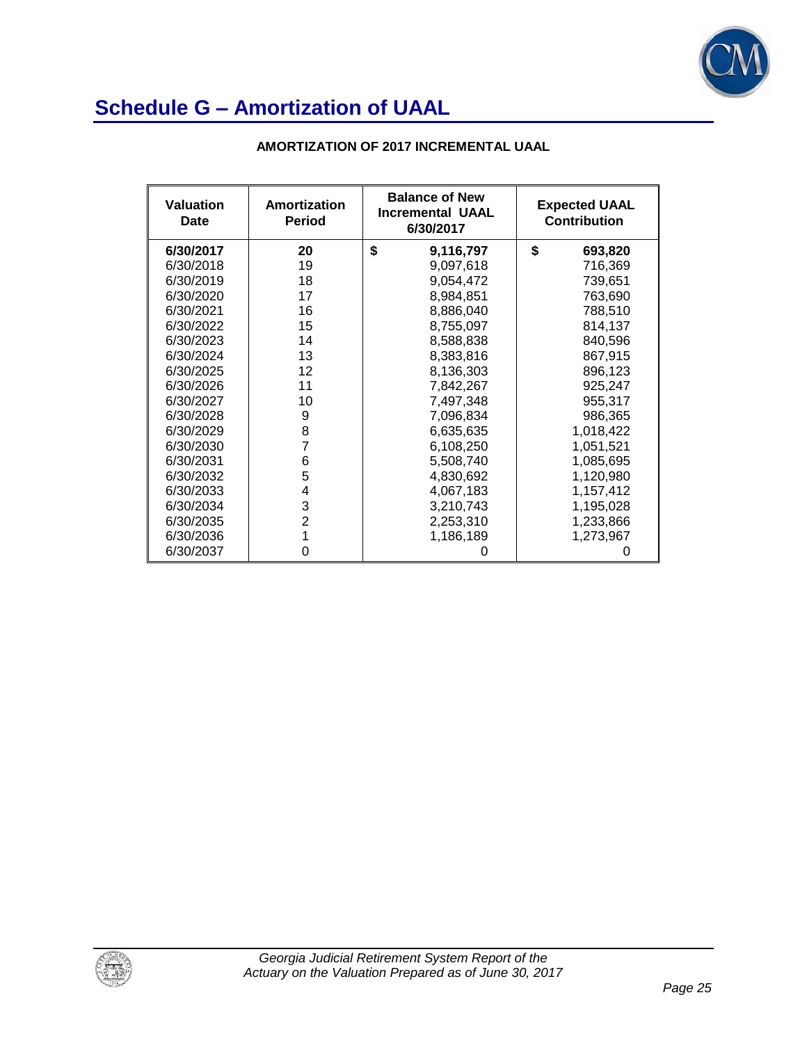

| <b>Valuation</b><br>Date | Amortization<br><b>Period</b> | <b>Balance of New</b><br><b>Incremental UAAL</b><br>6/30/2017 | <b>Expected UAAL</b><br><b>Contribution</b> |
|--------------------------|-------------------------------|---------------------------------------------------------------|---------------------------------------------|
| 6/30/2017                | 20                            | \$<br>9,116,797                                               | \$<br>693,820                               |
| 6/30/2018                | 19                            | 9,097,618                                                     | 716,369                                     |
| 6/30/2019                | 18                            | 9,054,472                                                     | 739,651                                     |
| 6/30/2020                | 17                            | 8,984,851                                                     | 763,690                                     |
| 6/30/2021                | 16                            | 8,886,040                                                     | 788,510                                     |
| 6/30/2022                | 15                            | 8,755,097                                                     | 814,137                                     |
| 6/30/2023                | 14                            | 8,588,838                                                     | 840,596                                     |
| 6/30/2024                | 13                            | 8,383,816                                                     | 867,915                                     |
| 6/30/2025                | 12                            | 8,136,303                                                     | 896,123                                     |
| 6/30/2026                | 11                            | 7,842,267                                                     | 925,247                                     |
| 6/30/2027                | 10                            | 7,497,348                                                     | 955,317                                     |
| 6/30/2028                | 9                             | 7,096,834                                                     | 986,365                                     |
| 6/30/2029                | 8                             | 6,635,635                                                     | 1,018,422                                   |
| 6/30/2030                | 7                             | 6,108,250                                                     | 1,051,521                                   |
| 6/30/2031                | 6                             | 5,508,740                                                     | 1,085,695                                   |
| 6/30/2032                | 5                             | 4,830,692                                                     | 1,120,980                                   |
| 6/30/2033                | 4                             | 4,067,183                                                     | 1,157,412                                   |
| 6/30/2034                | 3                             | 3,210,743                                                     | 1,195,028                                   |
| 6/30/2035                | $\overline{2}$                | 2,253,310                                                     | 1,233,866                                   |
| 6/30/2036                |                               | 1,186,189                                                     | 1,273,967                                   |
| 6/30/2037                | 0                             |                                                               |                                             |

### **AMORTIZATION OF 2017 INCREMENTAL UAAL**

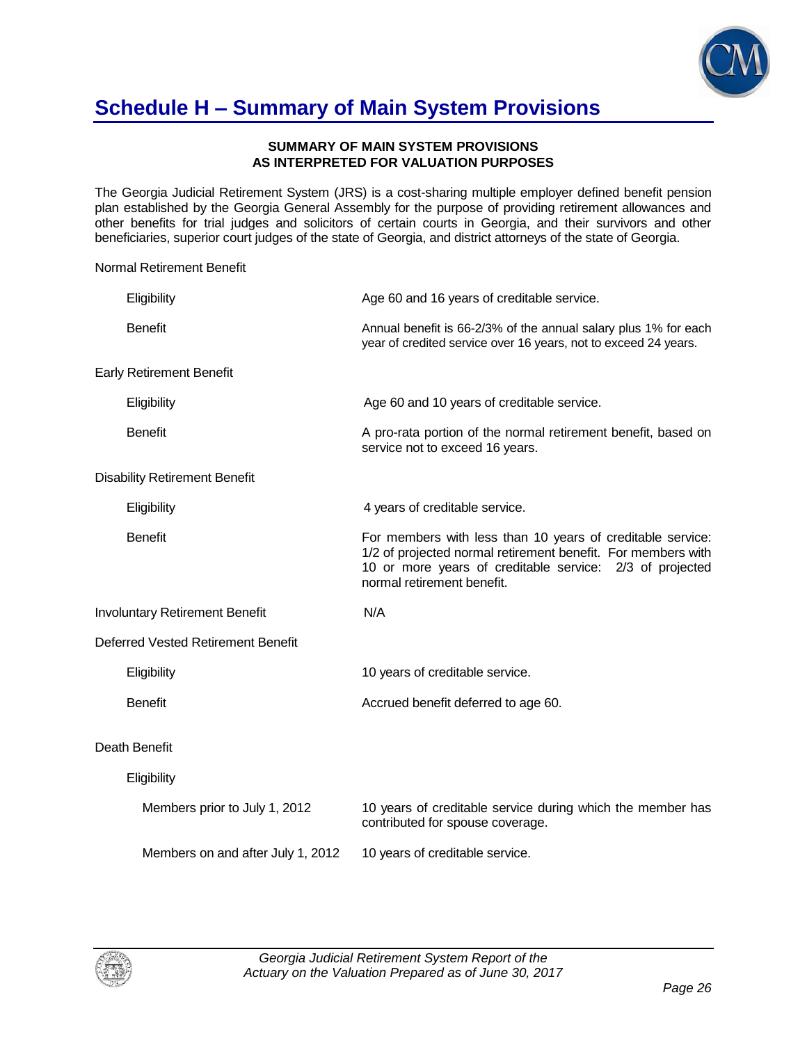

## **Schedule H – Summary of Main System Provisions**

#### **SUMMARY OF MAIN SYSTEM PROVISIONS AS INTERPRETED FOR VALUATION PURPOSES**

The Georgia Judicial Retirement System (JRS) is a cost-sharing multiple employer defined benefit pension plan established by the Georgia General Assembly for the purpose of providing retirement allowances and other benefits for trial judges and solicitors of certain courts in Georgia, and their survivors and other beneficiaries, superior court judges of the state of Georgia, and district attorneys of the state of Georgia.

### Normal Retirement Benefit

|                | Eligibility                           | Age 60 and 16 years of creditable service.                                                                                                                                                                           |
|----------------|---------------------------------------|----------------------------------------------------------------------------------------------------------------------------------------------------------------------------------------------------------------------|
| <b>Benefit</b> |                                       | Annual benefit is 66-2/3% of the annual salary plus 1% for each<br>year of credited service over 16 years, not to exceed 24 years.                                                                                   |
|                | <b>Early Retirement Benefit</b>       |                                                                                                                                                                                                                      |
|                | Eligibility                           | Age 60 and 10 years of creditable service.                                                                                                                                                                           |
| <b>Benefit</b> |                                       | A pro-rata portion of the normal retirement benefit, based on<br>service not to exceed 16 years.                                                                                                                     |
|                | <b>Disability Retirement Benefit</b>  |                                                                                                                                                                                                                      |
|                | Eligibility                           | 4 years of creditable service.                                                                                                                                                                                       |
| <b>Benefit</b> |                                       | For members with less than 10 years of creditable service:<br>1/2 of projected normal retirement benefit. For members with<br>10 or more years of creditable service: 2/3 of projected<br>normal retirement benefit. |
|                | <b>Involuntary Retirement Benefit</b> | N/A                                                                                                                                                                                                                  |
|                | Deferred Vested Retirement Benefit    |                                                                                                                                                                                                                      |
|                | Eligibility                           | 10 years of creditable service.                                                                                                                                                                                      |
| <b>Benefit</b> |                                       | Accrued benefit deferred to age 60.                                                                                                                                                                                  |
| Death Benefit  |                                       |                                                                                                                                                                                                                      |
|                | Eligibility                           |                                                                                                                                                                                                                      |
|                | Members prior to July 1, 2012         | 10 years of creditable service during which the member has<br>contributed for spouse coverage.                                                                                                                       |
|                | Members on and after July 1, 2012     | 10 years of creditable service.                                                                                                                                                                                      |

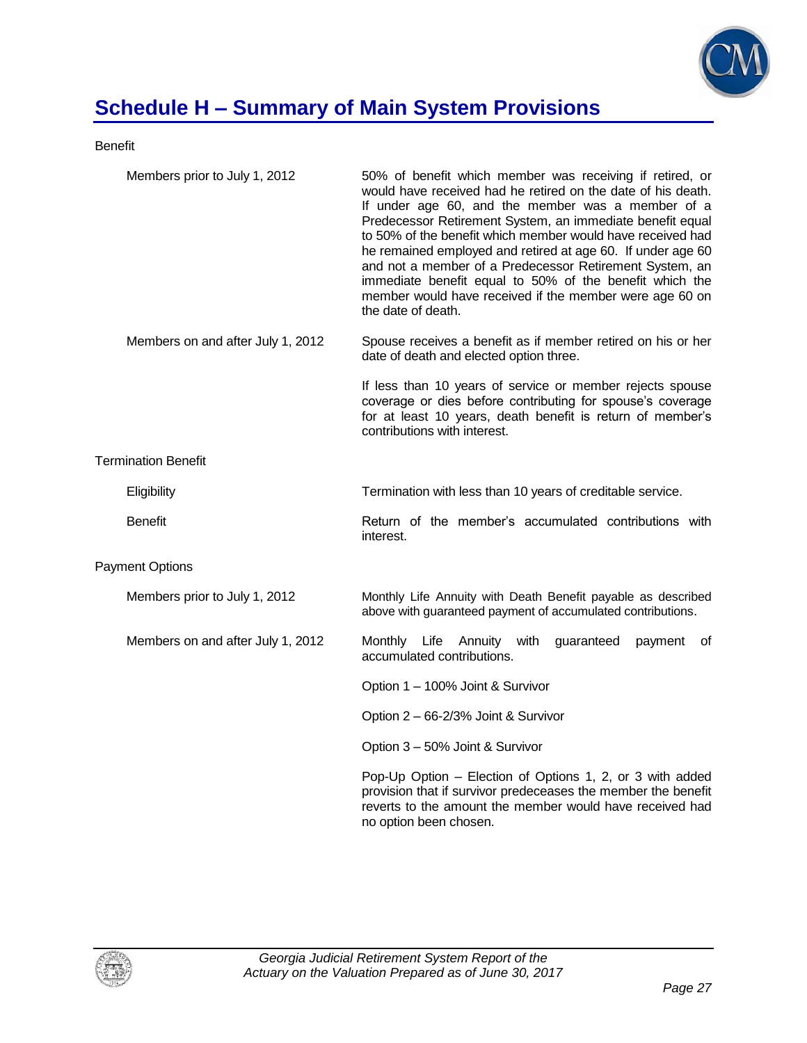

# **Schedule H – Summary of Main System Provisions**

Benefit

| Members prior to July 1, 2012     | 50% of benefit which member was receiving if retired, or<br>would have received had he retired on the date of his death.<br>If under age 60, and the member was a member of a<br>Predecessor Retirement System, an immediate benefit equal<br>to 50% of the benefit which member would have received had<br>he remained employed and retired at age 60. If under age 60<br>and not a member of a Predecessor Retirement System, an<br>immediate benefit equal to 50% of the benefit which the<br>member would have received if the member were age 60 on<br>the date of death. |
|-----------------------------------|--------------------------------------------------------------------------------------------------------------------------------------------------------------------------------------------------------------------------------------------------------------------------------------------------------------------------------------------------------------------------------------------------------------------------------------------------------------------------------------------------------------------------------------------------------------------------------|
| Members on and after July 1, 2012 | Spouse receives a benefit as if member retired on his or her<br>date of death and elected option three.                                                                                                                                                                                                                                                                                                                                                                                                                                                                        |
|                                   | If less than 10 years of service or member rejects spouse<br>coverage or dies before contributing for spouse's coverage<br>for at least 10 years, death benefit is return of member's<br>contributions with interest.                                                                                                                                                                                                                                                                                                                                                          |
| <b>Termination Benefit</b>        |                                                                                                                                                                                                                                                                                                                                                                                                                                                                                                                                                                                |
| Eligibility                       | Termination with less than 10 years of creditable service.                                                                                                                                                                                                                                                                                                                                                                                                                                                                                                                     |
| <b>Benefit</b>                    | Return of the member's accumulated contributions with<br>interest.                                                                                                                                                                                                                                                                                                                                                                                                                                                                                                             |
| <b>Payment Options</b>            |                                                                                                                                                                                                                                                                                                                                                                                                                                                                                                                                                                                |
| Members prior to July 1, 2012     | Monthly Life Annuity with Death Benefit payable as described<br>above with guaranteed payment of accumulated contributions.                                                                                                                                                                                                                                                                                                                                                                                                                                                    |
| Members on and after July 1, 2012 | Monthly Life<br>Annuity with<br>guaranteed<br>payment<br>οf<br>accumulated contributions.                                                                                                                                                                                                                                                                                                                                                                                                                                                                                      |
|                                   | Option 1 - 100% Joint & Survivor                                                                                                                                                                                                                                                                                                                                                                                                                                                                                                                                               |
|                                   | Option 2 - 66-2/3% Joint & Survivor                                                                                                                                                                                                                                                                                                                                                                                                                                                                                                                                            |
|                                   | Option 3 - 50% Joint & Survivor                                                                                                                                                                                                                                                                                                                                                                                                                                                                                                                                                |
|                                   | Pop-Up Option - Election of Options 1, 2, or 3 with added<br>provision that if survivor predeceases the member the benefit<br>reverts to the amount the member would have received had<br>no option been chosen.                                                                                                                                                                                                                                                                                                                                                               |

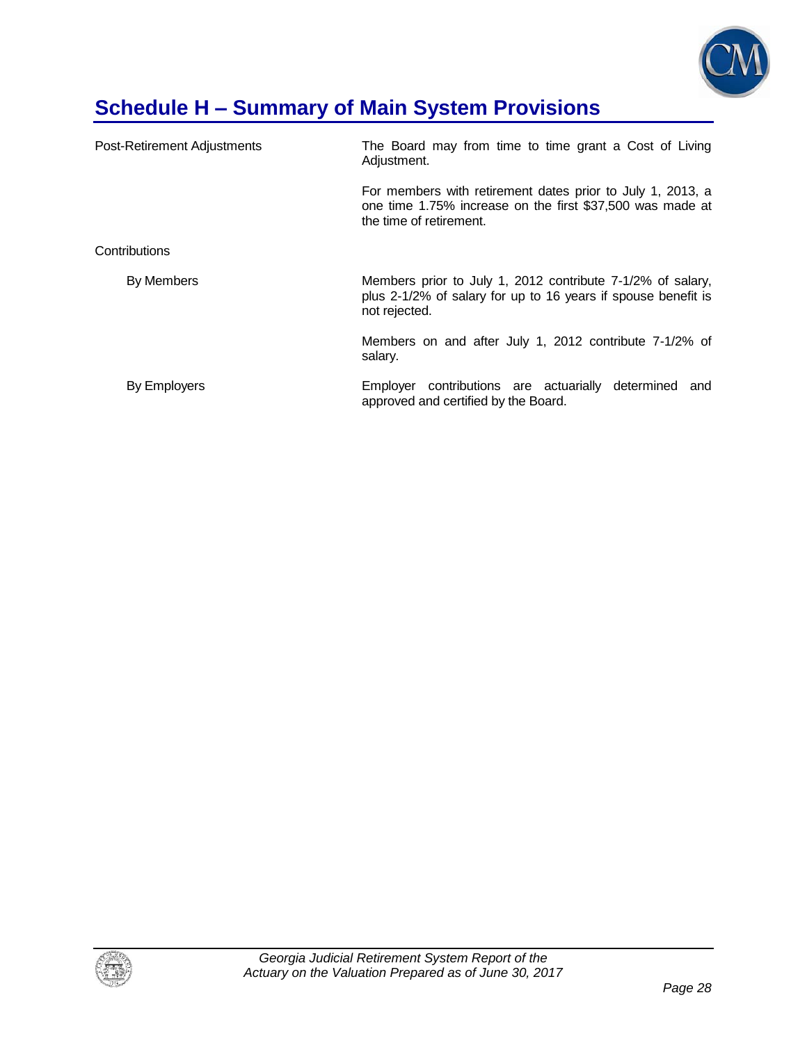

# **Schedule H – Summary of Main System Provisions**

| Post-Retirement Adjustments | The Board may from time to time grant a Cost of Living<br>Adjustment.                                                                              |
|-----------------------------|----------------------------------------------------------------------------------------------------------------------------------------------------|
|                             | For members with retirement dates prior to July 1, 2013, a<br>one time 1.75% increase on the first \$37,500 was made at<br>the time of retirement. |
| Contributions               |                                                                                                                                                    |
| By Members                  | Members prior to July 1, 2012 contribute 7-1/2% of salary,<br>plus 2-1/2% of salary for up to 16 years if spouse benefit is<br>not rejected.       |
|                             | Members on and after July 1, 2012 contribute 7-1/2% of<br>salary.                                                                                  |
| By Employers                | Employer contributions are actuarially<br>determined<br>and<br>approved and certified by the Board.                                                |

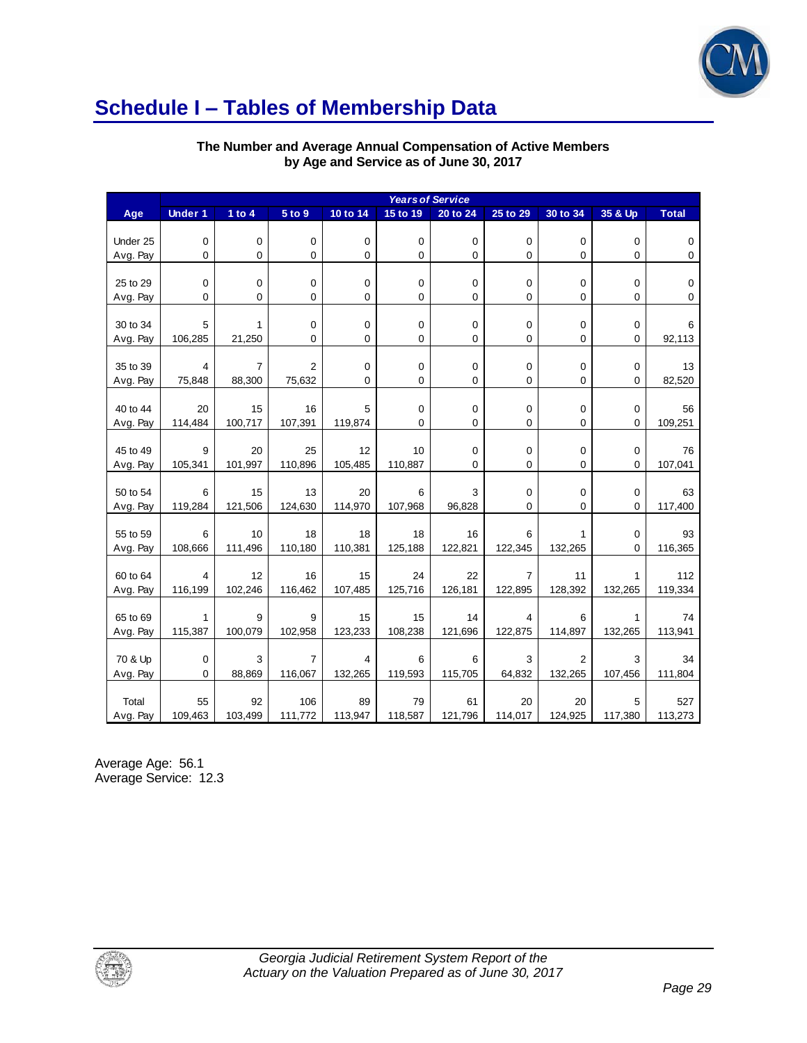

# **Schedule I – Tables of Membership Data**

| The Number and Average Annual Compensation of Active Members |
|--------------------------------------------------------------|
| by Age and Service as of June 30, 2017                       |

| <b>Years of Service</b><br><b>Under 1</b><br>1 to $4$<br>5 to 9<br>10 to 14<br>25 to 29<br>30 to 34<br>35 & Up<br><b>Total</b><br>15 to 19<br>20 to 24<br>Age<br>Under 25<br>$\boldsymbol{0}$<br>$\mathbf 0$<br>$\mathbf 0$<br>$\mathbf 0$<br>$\boldsymbol{0}$<br>0<br>$\mathbf 0$<br>$\mathbf 0$<br>0<br>0<br>$\mathbf 0$<br>0<br>0<br>$\pmb{0}$<br>0<br>0<br>$\pmb{0}$<br>Avg. Pay<br>0<br>0<br>0<br>25 to 29<br>0<br>$\pmb{0}$<br>$\pmb{0}$<br>0<br>0<br>0<br>0<br>0<br>$\pmb{0}$<br>0<br>0<br>0<br>0<br>0<br>0<br>0<br>$\mathbf 0$<br>0<br>$\pmb{0}$<br>Avg. Pay<br>0<br>0<br>$\mathbf 0$<br>0<br>30 to 34<br>5<br>1<br>0<br>$\pmb{0}$<br>$\pmb{0}$<br>0<br>$\,6$<br>106,285<br>21,250<br>0<br>0<br>0<br>0<br>92,113<br>Avg. Pay<br>0<br>0<br>0<br>$\overline{7}$<br>35 to 39<br>2<br>0<br>13<br>4<br>0<br>0<br>0<br>0<br>0<br>0<br>0<br>75,848<br>88,300<br>75,632<br>0<br>$\mathbf 0$<br>82,520<br>Avg. Pay<br>0<br>0<br>40 to 44<br>15<br>16<br>$\mathbf 0$<br>$\mathbf 0$<br>20<br>5<br>0<br>0<br>0<br>56<br>100,717<br>107,391<br>119,874<br>$\mathbf 0$<br>0<br>0<br>0<br>0<br>109,251<br>Avg. Pay<br>114,484<br>45 to 49<br>9<br>20<br>25<br>12<br>10<br>0<br>$\mathbf 0$<br>76<br>0<br>0<br>110,896<br>$\mathbf 0$<br>$\mathbf 0$<br>105,341<br>101,997<br>105,485<br>110,887<br>0<br>0<br>107,041<br>Avg. Pay<br>50 to 54<br>6<br>15<br>13<br>20<br>3<br>0<br>$\mathbf 0$<br>63<br>6<br>0<br>119,284<br>121,506<br>124,630<br>114,970<br>107,968<br>96,828<br>$\mathbf 0$<br>0<br>0<br>117,400<br>Avg. Pay<br>6<br>55 to 59<br>10<br>18<br>18<br>18<br>16<br>6<br>$\mathbf 0$<br>93<br>1<br>0<br>108,666<br>111,496<br>110,180<br>110,381<br>125,188<br>122,821<br>122,345<br>132,265<br>116,365<br>Avg. Pay<br>22<br>60 to 64<br>12<br>16<br>15<br>24<br>$\overline{7}$<br>11<br>112<br>4<br>1<br>116,199<br>102,246<br>116,462<br>107,485<br>125,716<br>126,181<br>122,895<br>128,392<br>132,265<br>119,334<br>Avg. Pay<br>$\mathbf{1}$<br>9<br>65 to 69<br>9<br>15<br>15<br>14<br>4<br>6<br>1<br>74<br>115,387<br>100,079<br>102,958<br>123,233<br>108,238<br>121,696<br>122,875<br>114,897<br>132,265<br>113,941<br>Avg. Pay<br>3<br>70 & Up<br>$\pmb{0}$<br>$\overline{7}$<br>6<br>6<br>3<br>$\overline{2}$<br>3<br>34<br>4<br>116,067<br>64,832<br>132,265<br>Avg. Pay<br>88,869<br>132,265<br>119,593<br>115,705<br>107,456<br>111,804<br>0<br>92<br>106<br>89<br>79<br>20<br>Total<br>55<br>61<br>20<br>5<br>527 | by Age and Service as of June 30, 2017 |         |         |         |         |         |         |         |         |         |         |
|---------------------------------------------------------------------------------------------------------------------------------------------------------------------------------------------------------------------------------------------------------------------------------------------------------------------------------------------------------------------------------------------------------------------------------------------------------------------------------------------------------------------------------------------------------------------------------------------------------------------------------------------------------------------------------------------------------------------------------------------------------------------------------------------------------------------------------------------------------------------------------------------------------------------------------------------------------------------------------------------------------------------------------------------------------------------------------------------------------------------------------------------------------------------------------------------------------------------------------------------------------------------------------------------------------------------------------------------------------------------------------------------------------------------------------------------------------------------------------------------------------------------------------------------------------------------------------------------------------------------------------------------------------------------------------------------------------------------------------------------------------------------------------------------------------------------------------------------------------------------------------------------------------------------------------------------------------------------------------------------------------------------------------------------------------------------------------------------------------------------------------------------------------------------------------------------------------------------------------------------------------------------------------------------------------------------------------------------------------------------------------------------------------------------------------------|----------------------------------------|---------|---------|---------|---------|---------|---------|---------|---------|---------|---------|
|                                                                                                                                                                                                                                                                                                                                                                                                                                                                                                                                                                                                                                                                                                                                                                                                                                                                                                                                                                                                                                                                                                                                                                                                                                                                                                                                                                                                                                                                                                                                                                                                                                                                                                                                                                                                                                                                                                                                                                                                                                                                                                                                                                                                                                                                                                                                                                                                                                       |                                        |         |         |         |         |         |         |         |         |         |         |
|                                                                                                                                                                                                                                                                                                                                                                                                                                                                                                                                                                                                                                                                                                                                                                                                                                                                                                                                                                                                                                                                                                                                                                                                                                                                                                                                                                                                                                                                                                                                                                                                                                                                                                                                                                                                                                                                                                                                                                                                                                                                                                                                                                                                                                                                                                                                                                                                                                       |                                        |         |         |         |         |         |         |         |         |         |         |
|                                                                                                                                                                                                                                                                                                                                                                                                                                                                                                                                                                                                                                                                                                                                                                                                                                                                                                                                                                                                                                                                                                                                                                                                                                                                                                                                                                                                                                                                                                                                                                                                                                                                                                                                                                                                                                                                                                                                                                                                                                                                                                                                                                                                                                                                                                                                                                                                                                       |                                        |         |         |         |         |         |         |         |         |         |         |
|                                                                                                                                                                                                                                                                                                                                                                                                                                                                                                                                                                                                                                                                                                                                                                                                                                                                                                                                                                                                                                                                                                                                                                                                                                                                                                                                                                                                                                                                                                                                                                                                                                                                                                                                                                                                                                                                                                                                                                                                                                                                                                                                                                                                                                                                                                                                                                                                                                       |                                        |         |         |         |         |         |         |         |         |         |         |
|                                                                                                                                                                                                                                                                                                                                                                                                                                                                                                                                                                                                                                                                                                                                                                                                                                                                                                                                                                                                                                                                                                                                                                                                                                                                                                                                                                                                                                                                                                                                                                                                                                                                                                                                                                                                                                                                                                                                                                                                                                                                                                                                                                                                                                                                                                                                                                                                                                       |                                        |         |         |         |         |         |         |         |         |         |         |
|                                                                                                                                                                                                                                                                                                                                                                                                                                                                                                                                                                                                                                                                                                                                                                                                                                                                                                                                                                                                                                                                                                                                                                                                                                                                                                                                                                                                                                                                                                                                                                                                                                                                                                                                                                                                                                                                                                                                                                                                                                                                                                                                                                                                                                                                                                                                                                                                                                       |                                        |         |         |         |         |         |         |         |         |         |         |
|                                                                                                                                                                                                                                                                                                                                                                                                                                                                                                                                                                                                                                                                                                                                                                                                                                                                                                                                                                                                                                                                                                                                                                                                                                                                                                                                                                                                                                                                                                                                                                                                                                                                                                                                                                                                                                                                                                                                                                                                                                                                                                                                                                                                                                                                                                                                                                                                                                       |                                        |         |         |         |         |         |         |         |         |         |         |
|                                                                                                                                                                                                                                                                                                                                                                                                                                                                                                                                                                                                                                                                                                                                                                                                                                                                                                                                                                                                                                                                                                                                                                                                                                                                                                                                                                                                                                                                                                                                                                                                                                                                                                                                                                                                                                                                                                                                                                                                                                                                                                                                                                                                                                                                                                                                                                                                                                       |                                        |         |         |         |         |         |         |         |         |         |         |
|                                                                                                                                                                                                                                                                                                                                                                                                                                                                                                                                                                                                                                                                                                                                                                                                                                                                                                                                                                                                                                                                                                                                                                                                                                                                                                                                                                                                                                                                                                                                                                                                                                                                                                                                                                                                                                                                                                                                                                                                                                                                                                                                                                                                                                                                                                                                                                                                                                       |                                        |         |         |         |         |         |         |         |         |         |         |
|                                                                                                                                                                                                                                                                                                                                                                                                                                                                                                                                                                                                                                                                                                                                                                                                                                                                                                                                                                                                                                                                                                                                                                                                                                                                                                                                                                                                                                                                                                                                                                                                                                                                                                                                                                                                                                                                                                                                                                                                                                                                                                                                                                                                                                                                                                                                                                                                                                       |                                        |         |         |         |         |         |         |         |         |         |         |
|                                                                                                                                                                                                                                                                                                                                                                                                                                                                                                                                                                                                                                                                                                                                                                                                                                                                                                                                                                                                                                                                                                                                                                                                                                                                                                                                                                                                                                                                                                                                                                                                                                                                                                                                                                                                                                                                                                                                                                                                                                                                                                                                                                                                                                                                                                                                                                                                                                       |                                        |         |         |         |         |         |         |         |         |         |         |
|                                                                                                                                                                                                                                                                                                                                                                                                                                                                                                                                                                                                                                                                                                                                                                                                                                                                                                                                                                                                                                                                                                                                                                                                                                                                                                                                                                                                                                                                                                                                                                                                                                                                                                                                                                                                                                                                                                                                                                                                                                                                                                                                                                                                                                                                                                                                                                                                                                       |                                        |         |         |         |         |         |         |         |         |         |         |
|                                                                                                                                                                                                                                                                                                                                                                                                                                                                                                                                                                                                                                                                                                                                                                                                                                                                                                                                                                                                                                                                                                                                                                                                                                                                                                                                                                                                                                                                                                                                                                                                                                                                                                                                                                                                                                                                                                                                                                                                                                                                                                                                                                                                                                                                                                                                                                                                                                       |                                        |         |         |         |         |         |         |         |         |         |         |
|                                                                                                                                                                                                                                                                                                                                                                                                                                                                                                                                                                                                                                                                                                                                                                                                                                                                                                                                                                                                                                                                                                                                                                                                                                                                                                                                                                                                                                                                                                                                                                                                                                                                                                                                                                                                                                                                                                                                                                                                                                                                                                                                                                                                                                                                                                                                                                                                                                       |                                        |         |         |         |         |         |         |         |         |         |         |
|                                                                                                                                                                                                                                                                                                                                                                                                                                                                                                                                                                                                                                                                                                                                                                                                                                                                                                                                                                                                                                                                                                                                                                                                                                                                                                                                                                                                                                                                                                                                                                                                                                                                                                                                                                                                                                                                                                                                                                                                                                                                                                                                                                                                                                                                                                                                                                                                                                       |                                        |         |         |         |         |         |         |         |         |         |         |
|                                                                                                                                                                                                                                                                                                                                                                                                                                                                                                                                                                                                                                                                                                                                                                                                                                                                                                                                                                                                                                                                                                                                                                                                                                                                                                                                                                                                                                                                                                                                                                                                                                                                                                                                                                                                                                                                                                                                                                                                                                                                                                                                                                                                                                                                                                                                                                                                                                       |                                        |         |         |         |         |         |         |         |         |         |         |
|                                                                                                                                                                                                                                                                                                                                                                                                                                                                                                                                                                                                                                                                                                                                                                                                                                                                                                                                                                                                                                                                                                                                                                                                                                                                                                                                                                                                                                                                                                                                                                                                                                                                                                                                                                                                                                                                                                                                                                                                                                                                                                                                                                                                                                                                                                                                                                                                                                       |                                        |         |         |         |         |         |         |         |         |         |         |
|                                                                                                                                                                                                                                                                                                                                                                                                                                                                                                                                                                                                                                                                                                                                                                                                                                                                                                                                                                                                                                                                                                                                                                                                                                                                                                                                                                                                                                                                                                                                                                                                                                                                                                                                                                                                                                                                                                                                                                                                                                                                                                                                                                                                                                                                                                                                                                                                                                       |                                        |         |         |         |         |         |         |         |         |         |         |
|                                                                                                                                                                                                                                                                                                                                                                                                                                                                                                                                                                                                                                                                                                                                                                                                                                                                                                                                                                                                                                                                                                                                                                                                                                                                                                                                                                                                                                                                                                                                                                                                                                                                                                                                                                                                                                                                                                                                                                                                                                                                                                                                                                                                                                                                                                                                                                                                                                       |                                        |         |         |         |         |         |         |         |         |         |         |
|                                                                                                                                                                                                                                                                                                                                                                                                                                                                                                                                                                                                                                                                                                                                                                                                                                                                                                                                                                                                                                                                                                                                                                                                                                                                                                                                                                                                                                                                                                                                                                                                                                                                                                                                                                                                                                                                                                                                                                                                                                                                                                                                                                                                                                                                                                                                                                                                                                       |                                        |         |         |         |         |         |         |         |         |         |         |
|                                                                                                                                                                                                                                                                                                                                                                                                                                                                                                                                                                                                                                                                                                                                                                                                                                                                                                                                                                                                                                                                                                                                                                                                                                                                                                                                                                                                                                                                                                                                                                                                                                                                                                                                                                                                                                                                                                                                                                                                                                                                                                                                                                                                                                                                                                                                                                                                                                       |                                        |         |         |         |         |         |         |         |         |         |         |
|                                                                                                                                                                                                                                                                                                                                                                                                                                                                                                                                                                                                                                                                                                                                                                                                                                                                                                                                                                                                                                                                                                                                                                                                                                                                                                                                                                                                                                                                                                                                                                                                                                                                                                                                                                                                                                                                                                                                                                                                                                                                                                                                                                                                                                                                                                                                                                                                                                       |                                        |         |         |         |         |         |         |         |         |         |         |
|                                                                                                                                                                                                                                                                                                                                                                                                                                                                                                                                                                                                                                                                                                                                                                                                                                                                                                                                                                                                                                                                                                                                                                                                                                                                                                                                                                                                                                                                                                                                                                                                                                                                                                                                                                                                                                                                                                                                                                                                                                                                                                                                                                                                                                                                                                                                                                                                                                       |                                        |         |         |         |         |         |         |         |         |         |         |
|                                                                                                                                                                                                                                                                                                                                                                                                                                                                                                                                                                                                                                                                                                                                                                                                                                                                                                                                                                                                                                                                                                                                                                                                                                                                                                                                                                                                                                                                                                                                                                                                                                                                                                                                                                                                                                                                                                                                                                                                                                                                                                                                                                                                                                                                                                                                                                                                                                       |                                        |         |         |         |         |         |         |         |         |         |         |
|                                                                                                                                                                                                                                                                                                                                                                                                                                                                                                                                                                                                                                                                                                                                                                                                                                                                                                                                                                                                                                                                                                                                                                                                                                                                                                                                                                                                                                                                                                                                                                                                                                                                                                                                                                                                                                                                                                                                                                                                                                                                                                                                                                                                                                                                                                                                                                                                                                       |                                        |         |         |         |         |         |         |         |         |         |         |
|                                                                                                                                                                                                                                                                                                                                                                                                                                                                                                                                                                                                                                                                                                                                                                                                                                                                                                                                                                                                                                                                                                                                                                                                                                                                                                                                                                                                                                                                                                                                                                                                                                                                                                                                                                                                                                                                                                                                                                                                                                                                                                                                                                                                                                                                                                                                                                                                                                       |                                        |         |         |         |         |         |         |         |         |         |         |
|                                                                                                                                                                                                                                                                                                                                                                                                                                                                                                                                                                                                                                                                                                                                                                                                                                                                                                                                                                                                                                                                                                                                                                                                                                                                                                                                                                                                                                                                                                                                                                                                                                                                                                                                                                                                                                                                                                                                                                                                                                                                                                                                                                                                                                                                                                                                                                                                                                       |                                        |         |         |         |         |         |         |         |         |         |         |
|                                                                                                                                                                                                                                                                                                                                                                                                                                                                                                                                                                                                                                                                                                                                                                                                                                                                                                                                                                                                                                                                                                                                                                                                                                                                                                                                                                                                                                                                                                                                                                                                                                                                                                                                                                                                                                                                                                                                                                                                                                                                                                                                                                                                                                                                                                                                                                                                                                       |                                        |         |         |         |         |         |         |         |         |         |         |
|                                                                                                                                                                                                                                                                                                                                                                                                                                                                                                                                                                                                                                                                                                                                                                                                                                                                                                                                                                                                                                                                                                                                                                                                                                                                                                                                                                                                                                                                                                                                                                                                                                                                                                                                                                                                                                                                                                                                                                                                                                                                                                                                                                                                                                                                                                                                                                                                                                       |                                        |         |         |         |         |         |         |         |         |         |         |
|                                                                                                                                                                                                                                                                                                                                                                                                                                                                                                                                                                                                                                                                                                                                                                                                                                                                                                                                                                                                                                                                                                                                                                                                                                                                                                                                                                                                                                                                                                                                                                                                                                                                                                                                                                                                                                                                                                                                                                                                                                                                                                                                                                                                                                                                                                                                                                                                                                       |                                        |         |         |         |         |         |         |         |         |         |         |
|                                                                                                                                                                                                                                                                                                                                                                                                                                                                                                                                                                                                                                                                                                                                                                                                                                                                                                                                                                                                                                                                                                                                                                                                                                                                                                                                                                                                                                                                                                                                                                                                                                                                                                                                                                                                                                                                                                                                                                                                                                                                                                                                                                                                                                                                                                                                                                                                                                       |                                        |         |         |         |         |         |         |         |         |         |         |
|                                                                                                                                                                                                                                                                                                                                                                                                                                                                                                                                                                                                                                                                                                                                                                                                                                                                                                                                                                                                                                                                                                                                                                                                                                                                                                                                                                                                                                                                                                                                                                                                                                                                                                                                                                                                                                                                                                                                                                                                                                                                                                                                                                                                                                                                                                                                                                                                                                       |                                        |         |         |         |         |         |         |         |         |         |         |
|                                                                                                                                                                                                                                                                                                                                                                                                                                                                                                                                                                                                                                                                                                                                                                                                                                                                                                                                                                                                                                                                                                                                                                                                                                                                                                                                                                                                                                                                                                                                                                                                                                                                                                                                                                                                                                                                                                                                                                                                                                                                                                                                                                                                                                                                                                                                                                                                                                       |                                        |         |         |         |         |         |         |         |         |         |         |
|                                                                                                                                                                                                                                                                                                                                                                                                                                                                                                                                                                                                                                                                                                                                                                                                                                                                                                                                                                                                                                                                                                                                                                                                                                                                                                                                                                                                                                                                                                                                                                                                                                                                                                                                                                                                                                                                                                                                                                                                                                                                                                                                                                                                                                                                                                                                                                                                                                       |                                        |         |         |         |         |         |         |         |         |         |         |
|                                                                                                                                                                                                                                                                                                                                                                                                                                                                                                                                                                                                                                                                                                                                                                                                                                                                                                                                                                                                                                                                                                                                                                                                                                                                                                                                                                                                                                                                                                                                                                                                                                                                                                                                                                                                                                                                                                                                                                                                                                                                                                                                                                                                                                                                                                                                                                                                                                       | Avg. Pay                               | 109,463 | 103,499 | 111,772 | 113,947 | 118,587 | 121,796 | 114,017 | 124,925 | 117,380 | 113,273 |

Average Age: 56.1 Average Service: 12.3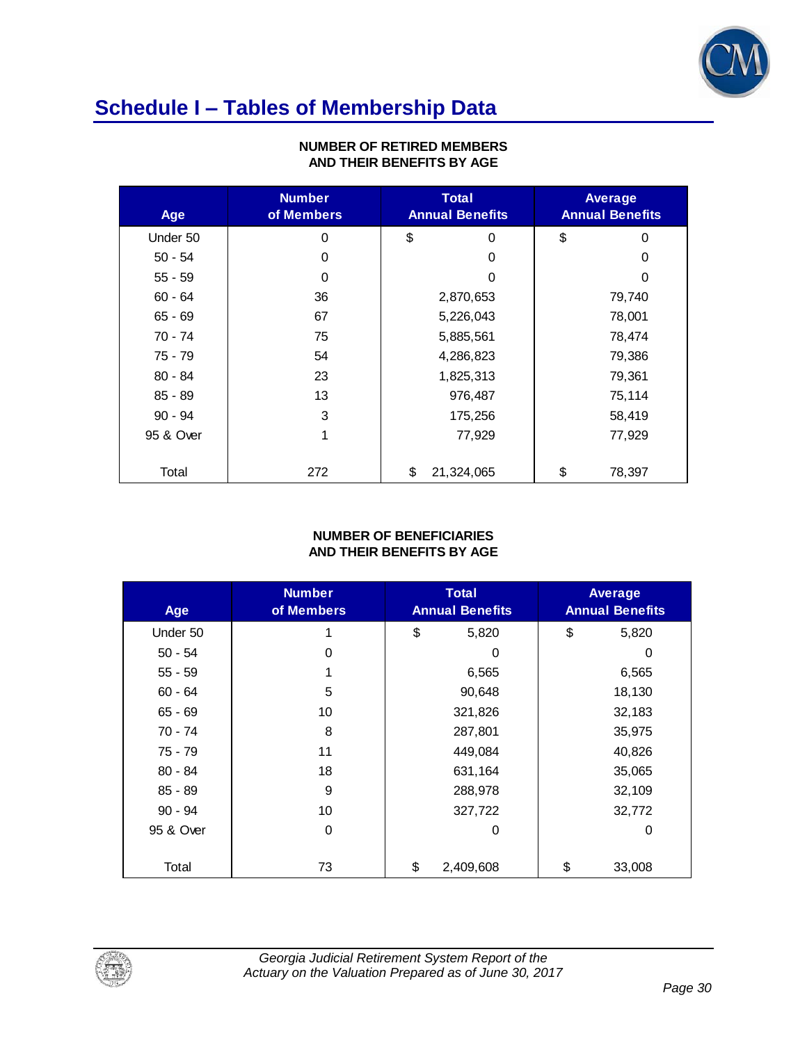

# **Schedule I – Tables of Membership Data**

| AND THEIR BENEFITS BY AGE |                             |                                        |                                          |  |  |  |  |
|---------------------------|-----------------------------|----------------------------------------|------------------------------------------|--|--|--|--|
| Age                       | <b>Number</b><br>of Members | <b>Total</b><br><b>Annual Benefits</b> | <b>Average</b><br><b>Annual Benefits</b> |  |  |  |  |
| Under 50                  | 0                           | \$<br>0                                | \$<br>$\Omega$                           |  |  |  |  |
| $50 - 54$                 | 0                           | 0                                      | 0                                        |  |  |  |  |
| $55 - 59$                 | 0                           | 0                                      | 0                                        |  |  |  |  |
| $60 - 64$                 | 36                          | 2,870,653                              | 79,740                                   |  |  |  |  |
| $65 - 69$                 | 67                          | 5,226,043                              | 78,001                                   |  |  |  |  |
| 70 - 74                   | 75                          | 5,885,561                              | 78,474                                   |  |  |  |  |
| 75 - 79                   | 54                          | 4,286,823                              | 79,386                                   |  |  |  |  |
| $80 - 84$                 | 23                          | 1,825,313                              | 79,361                                   |  |  |  |  |
| $85 - 89$                 | 13                          | 976,487                                | 75,114                                   |  |  |  |  |
| $90 - 94$                 | 3                           | 175,256                                | 58,419                                   |  |  |  |  |
| 95 & Over                 | 1                           | 77,929                                 | 77,929                                   |  |  |  |  |
| Total                     | 272                         | \$<br>21,324,065                       | \$<br>78,397                             |  |  |  |  |

### **NUMBER OF RETIRED MEMBERS AND THEIR BENEFITS BY AGE**

#### **NUMBER OF BENEFICIARIES AND THEIR BENEFITS BY AGE**

| AND THEIR BENEFITS BY AGE |                             |                                 |                                          |  |  |  |  |
|---------------------------|-----------------------------|---------------------------------|------------------------------------------|--|--|--|--|
| Age                       | <b>Number</b><br>of Members | Total<br><b>Annual Benefits</b> | <b>Average</b><br><b>Annual Benefits</b> |  |  |  |  |
| Under 50                  |                             | \$<br>5,820                     | \$<br>5,820                              |  |  |  |  |
| $50 - 54$                 | 0                           | 0                               | $\Omega$                                 |  |  |  |  |
| $55 - 59$                 |                             | 6,565                           | 6,565                                    |  |  |  |  |
| $60 - 64$                 | 5                           | 90,648                          | 18,130                                   |  |  |  |  |
| $65 - 69$                 | 10                          | 321,826                         | 32,183                                   |  |  |  |  |
| 70 - 74                   | 8                           | 287,801                         | 35,975                                   |  |  |  |  |
| 75 - 79                   | 11                          | 449,084                         | 40,826                                   |  |  |  |  |
| $80 - 84$                 | 18                          | 631,164                         | 35,065                                   |  |  |  |  |
| $85 - 89$                 | 9                           | 288,978                         | 32,109                                   |  |  |  |  |
| $90 - 94$                 | 10                          | 327,722                         | 32,772                                   |  |  |  |  |
| 95 & Over                 | 0                           | 0                               | 0                                        |  |  |  |  |
| Total                     | 73                          | \$<br>2,409,608                 | \$<br>33,008                             |  |  |  |  |

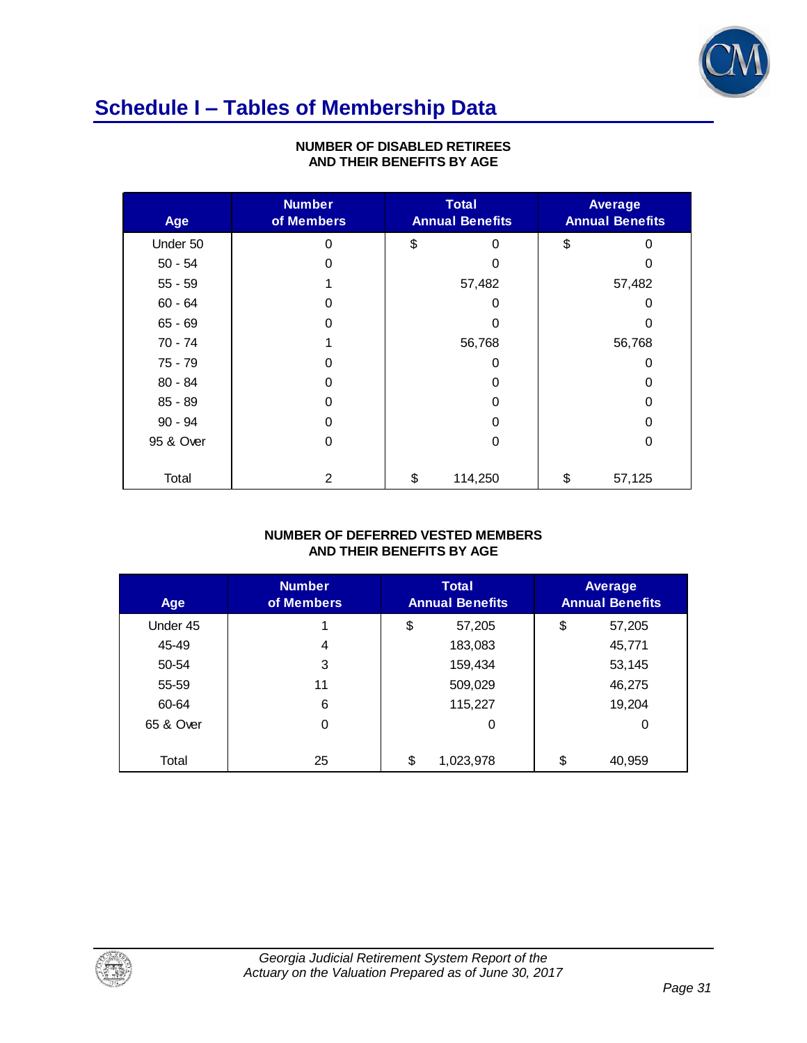

## **Schedule I – Tables of Membership Data**

| AND THEIR DENEFTIS BT AGE |                             |                                          |              |  |  |  |
|---------------------------|-----------------------------|------------------------------------------|--------------|--|--|--|
| Age                       | <b>Number</b><br>of Members | <b>Average</b><br><b>Annual Benefits</b> |              |  |  |  |
| Under 50                  | 0                           | \$<br>O                                  | \$<br>0      |  |  |  |
| $50 - 54$                 | 0                           | ი                                        | 0            |  |  |  |
| $55 - 59$                 |                             | 57,482                                   | 57,482       |  |  |  |
| $60 - 64$                 | 0                           | 0                                        | 0            |  |  |  |
| $65 - 69$                 | 0                           | O                                        | 0            |  |  |  |
| 70 - 74                   | 1                           | 56,768                                   | 56,768       |  |  |  |
| 75 - 79                   | 0                           | 0                                        | 0            |  |  |  |
| $80 - 84$                 | 0                           | 0                                        | 0            |  |  |  |
| $85 - 89$                 | 0                           | 0                                        | 0            |  |  |  |
| $90 - 94$                 | 0                           | 0                                        | 0            |  |  |  |
| 95 & Over                 | 0                           | 0                                        | 0            |  |  |  |
|                           |                             |                                          |              |  |  |  |
| Total                     | $\overline{2}$              | \$<br>114,250                            | \$<br>57,125 |  |  |  |

### **NUMBER OF DISABLED RETIREES AND THEIR BENEFITS BY AGE**

#### **NUMBER OF DEFERRED VESTED MEMBERS AND THEIR BENEFITS BY AGE**

| AND THEIR BENEFITS BY AGE |                             |                                        |    |                                          |  |  |  |
|---------------------------|-----------------------------|----------------------------------------|----|------------------------------------------|--|--|--|
| Age                       | <b>Number</b><br>of Members | <b>Total</b><br><b>Annual Benefits</b> |    | <b>Average</b><br><b>Annual Benefits</b> |  |  |  |
| Under 45                  |                             | \$<br>57,205                           | \$ | 57,205                                   |  |  |  |
| 45-49                     | 4                           | 183,083                                |    | 45,771                                   |  |  |  |
| 50-54                     | 3                           | 159,434                                |    | 53,145                                   |  |  |  |
| 55-59                     | 11                          | 509,029                                |    | 46,275                                   |  |  |  |
| 60-64                     | 6                           | 115,227                                |    | 19,204                                   |  |  |  |
| 65 & Over                 | 0                           | 0                                      |    | 0                                        |  |  |  |
|                           |                             |                                        |    |                                          |  |  |  |
| Total                     | 25                          | \$<br>1,023,978                        | \$ | 40,959                                   |  |  |  |